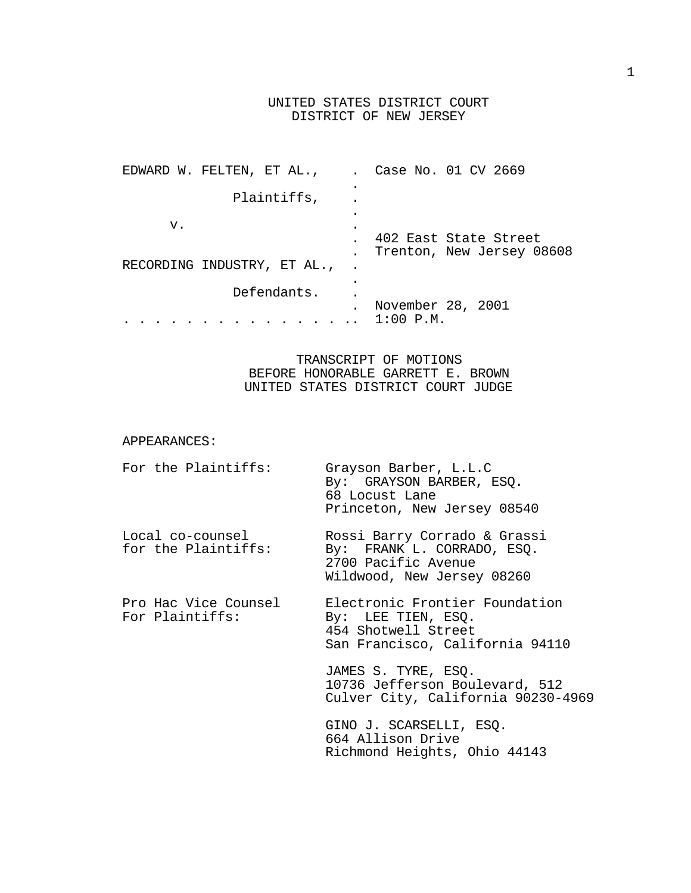# UNITED STATES DISTRICT COURT DISTRICT OF NEW JERSEY

| EDWARD W. FELTEN, ET AL.,   | Case No. 01 CV 2669       |
|-----------------------------|---------------------------|
|                             |                           |
| Plaintiffs,                 |                           |
|                             |                           |
| v.                          |                           |
|                             | 402 East State Street     |
|                             | Trenton, New Jersey 08608 |
| RECORDING INDUSTRY, ET AL., |                           |
|                             |                           |
| Defendants.                 |                           |
|                             | November 28, 2001         |
|                             | $1:00$ $P.M.$             |

# TRANSCRIPT OF MOTIONS BEFORE HONORABLE GARRETT E. BROWN UNITED STATES DISTRICT COURT JUDGE

## APPEARANCES:

| For the Plaintiffs:                     | Grayson Barber, L.L.C<br>By: GRAYSON BARBER, ESQ.<br>68 Locust Lane<br>Princeton, New Jersey 08540              |
|-----------------------------------------|-----------------------------------------------------------------------------------------------------------------|
| Local co-counsel<br>for the Plaintiffs: | Rossi Barry Corrado & Grassi<br>By: FRANK L. CORRADO, ESQ.<br>2700 Pacific Avenue<br>Wildwood, New Jersey 08260 |
| Pro Hac Vice Counsel<br>For Plaintiffs: | Electronic Frontier Foundation<br>By: LEE TIEN, ESO.<br>454 Shotwell Street<br>San Francisco, California 94110  |
|                                         | JAMES S. TYRE, ESQ.<br>10736 Jefferson Boulevard, 512<br>Culver City, California 90230-4969                     |
|                                         | GINO J. SCARSELLI, ESQ.<br>664 Allison Drive<br>Richmond Heights, Ohio 44143                                    |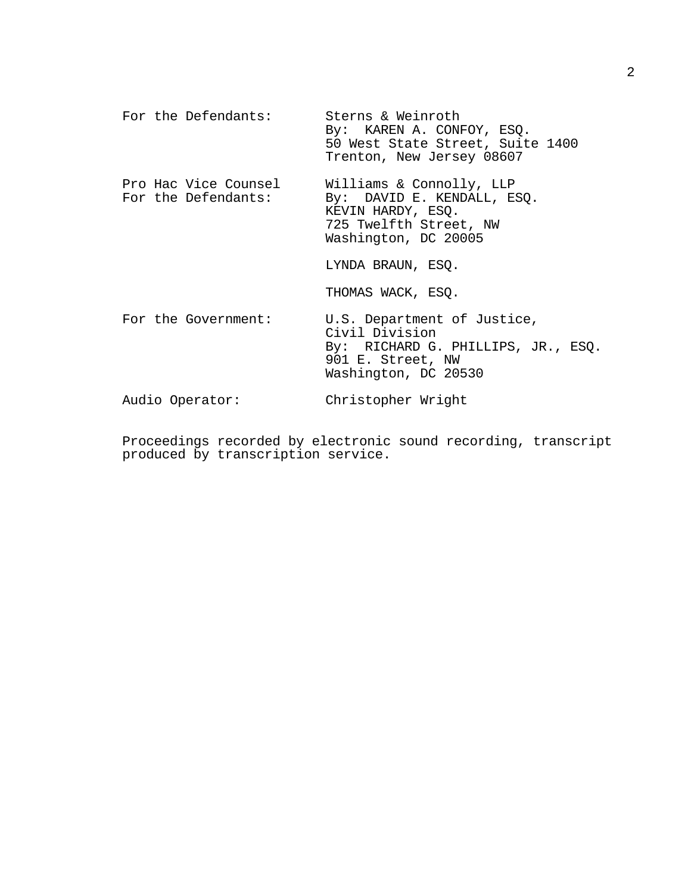| For the Defendants:                         | Sterns & Weinroth<br>By: KAREN A. CONFOY, ESQ.<br>50 West State Street, Suite 1400<br>Trenton, New Jersey 08607                  |
|---------------------------------------------|----------------------------------------------------------------------------------------------------------------------------------|
| Pro Hac Vice Counsel<br>For the Defendants: | Williams & Connolly, LLP<br>By: DAVID E. KENDALL, ESQ.<br>KEVIN HARDY, ESQ.<br>725 Twelfth Street, NW<br>Washington, DC 20005    |
|                                             | LYNDA BRAUN, ESQ.                                                                                                                |
|                                             | THOMAS WACK, ESQ.                                                                                                                |
| For the Government:                         | U.S. Department of Justice,<br>Civil Division<br>By: RICHARD G. PHILLIPS, JR., ESQ.<br>901 E. Street, NW<br>Washington, DC 20530 |
| Audio Operator:                             | Christopher Wright                                                                                                               |

Proceedings recorded by electronic sound recording, transcript produced by transcription service.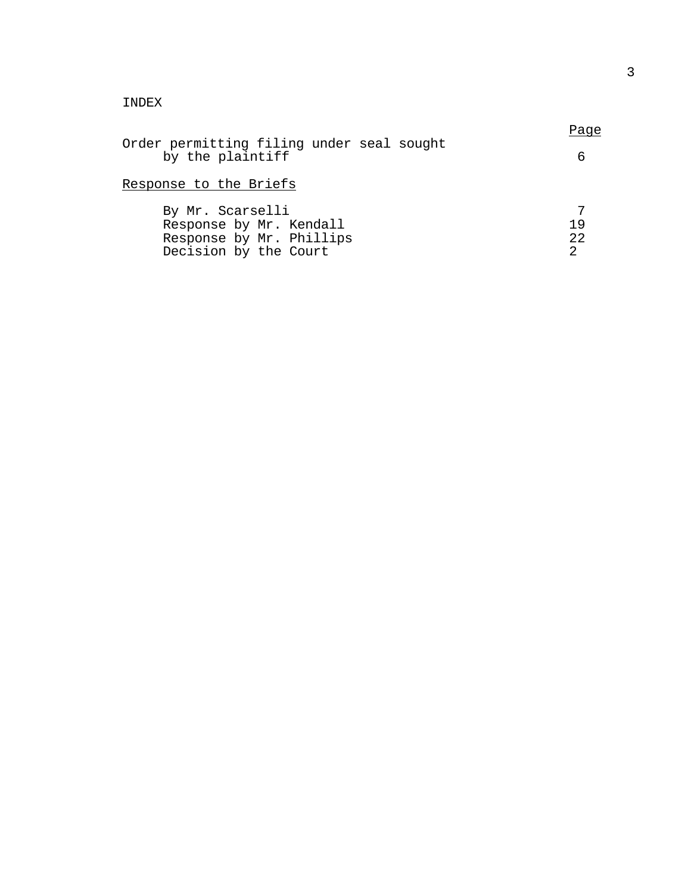# INDEX

|                                           | Page |
|-------------------------------------------|------|
| Order permitting filing under seal sought |      |
| by the plaintiff                          |      |

# Response to the Briefs

| By Mr. Scarselli         |     |
|--------------------------|-----|
| Response by Mr. Kendall  | 1 Q |
| Response by Mr. Phillips | 22  |
| Decision by the Court    |     |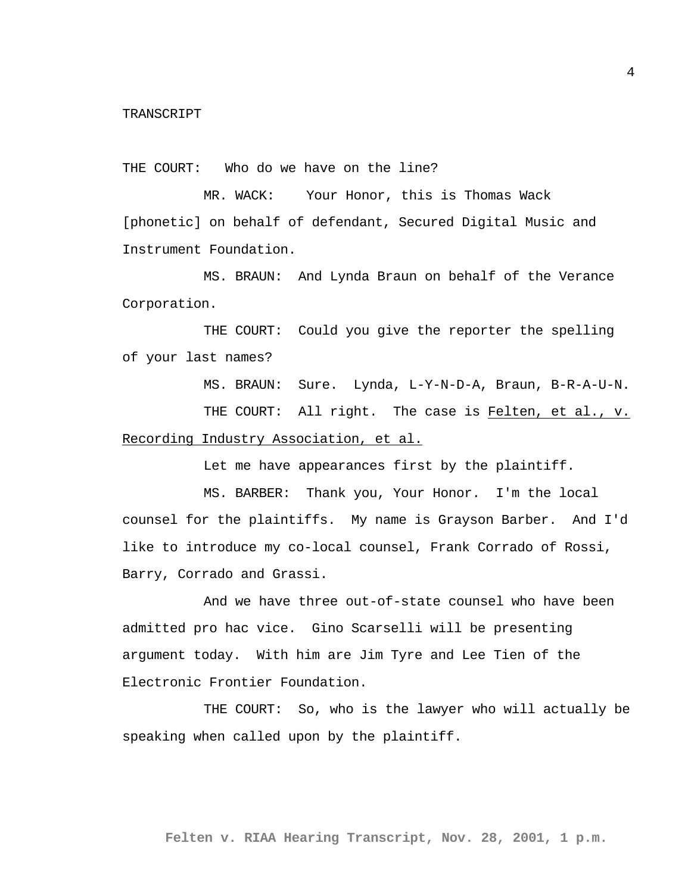THE COURT: Who do we have on the line?

MR. WACK: Your Honor, this is Thomas Wack [phonetic] on behalf of defendant, Secured Digital Music and Instrument Foundation.

MS. BRAUN: And Lynda Braun on behalf of the Verance Corporation.

THE COURT: Could you give the reporter the spelling of your last names?

MS. BRAUN: Sure. Lynda, L-Y-N-D-A, Braun, B-R-A-U-N.

THE COURT: All right. The case is Felten, et al., v. Recording Industry Association, et al.

Let me have appearances first by the plaintiff.

MS. BARBER: Thank you, Your Honor. I'm the local counsel for the plaintiffs. My name is Grayson Barber. And I'd like to introduce my co-local counsel, Frank Corrado of Rossi, Barry, Corrado and Grassi.

And we have three out-of-state counsel who have been admitted pro hac vice. Gino Scarselli will be presenting argument today. With him are Jim Tyre and Lee Tien of the Electronic Frontier Foundation.

THE COURT: So, who is the lawyer who will actually be speaking when called upon by the plaintiff.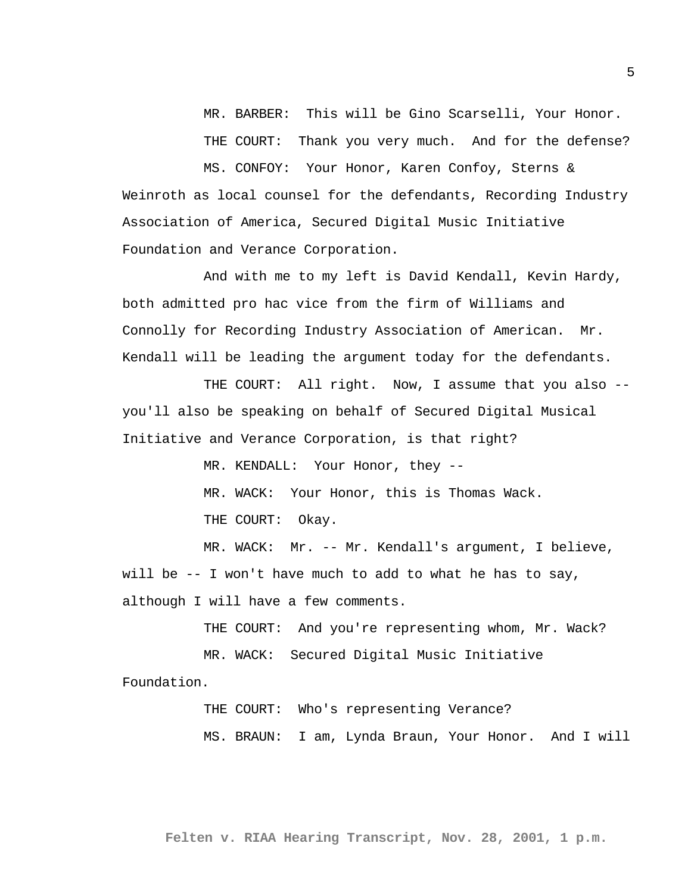MR. BARBER: This will be Gino Scarselli, Your Honor. THE COURT: Thank you very much. And for the defense?

MS. CONFOY: Your Honor, Karen Confoy, Sterns & Weinroth as local counsel for the defendants, Recording Industry Association of America, Secured Digital Music Initiative Foundation and Verance Corporation.

And with me to my left is David Kendall, Kevin Hardy, both admitted pro hac vice from the firm of Williams and Connolly for Recording Industry Association of American. Mr. Kendall will be leading the argument today for the defendants.

THE COURT: All right. Now, I assume that you also -you'll also be speaking on behalf of Secured Digital Musical Initiative and Verance Corporation, is that right?

> MR. KENDALL: Your Honor, they --MR. WACK: Your Honor, this is Thomas Wack. THE COURT: Okay.

MR. WACK: Mr. -- Mr. Kendall's argument, I believe, will be -- I won't have much to add to what he has to say, although I will have a few comments.

THE COURT: And you're representing whom, Mr. Wack?

MR. WACK: Secured Digital Music Initiative Foundation.

> THE COURT: Who's representing Verance? MS. BRAUN: I am, Lynda Braun, Your Honor. And I will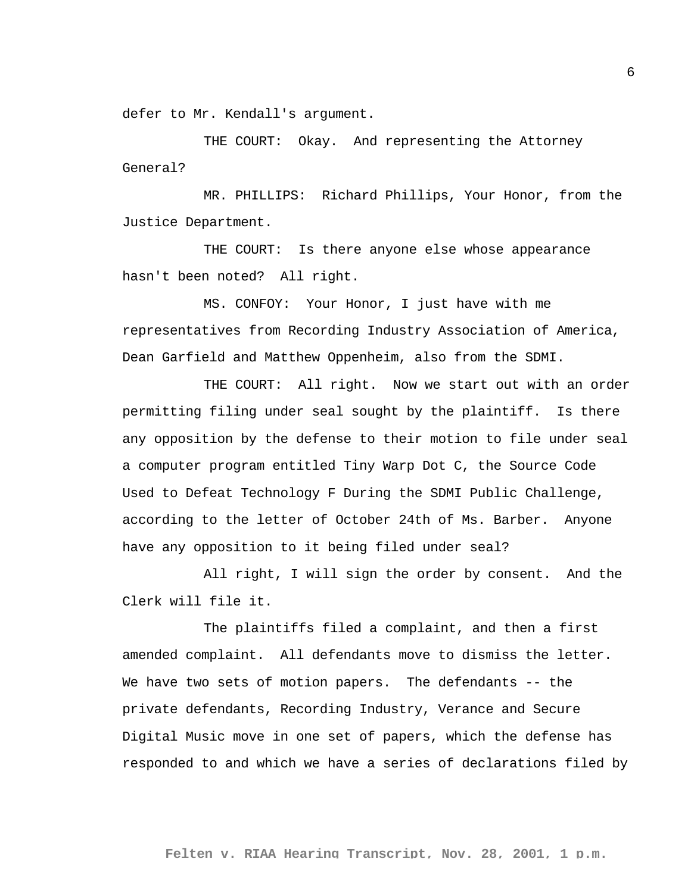defer to Mr. Kendall's argument.

THE COURT: Okay. And representing the Attorney General?

MR. PHILLIPS: Richard Phillips, Your Honor, from the Justice Department.

THE COURT: Is there anyone else whose appearance hasn't been noted? All right.

MS. CONFOY: Your Honor, I just have with me representatives from Recording Industry Association of America, Dean Garfield and Matthew Oppenheim, also from the SDMI.

THE COURT: All right. Now we start out with an order permitting filing under seal sought by the plaintiff. Is there any opposition by the defense to their motion to file under seal a computer program entitled Tiny Warp Dot C, the Source Code Used to Defeat Technology F During the SDMI Public Challenge, according to the letter of October 24th of Ms. Barber. Anyone have any opposition to it being filed under seal?

All right, I will sign the order by consent. And the Clerk will file it.

The plaintiffs filed a complaint, and then a first amended complaint. All defendants move to dismiss the letter. We have two sets of motion papers. The defendants -- the private defendants, Recording Industry, Verance and Secure Digital Music move in one set of papers, which the defense has responded to and which we have a series of declarations filed by

6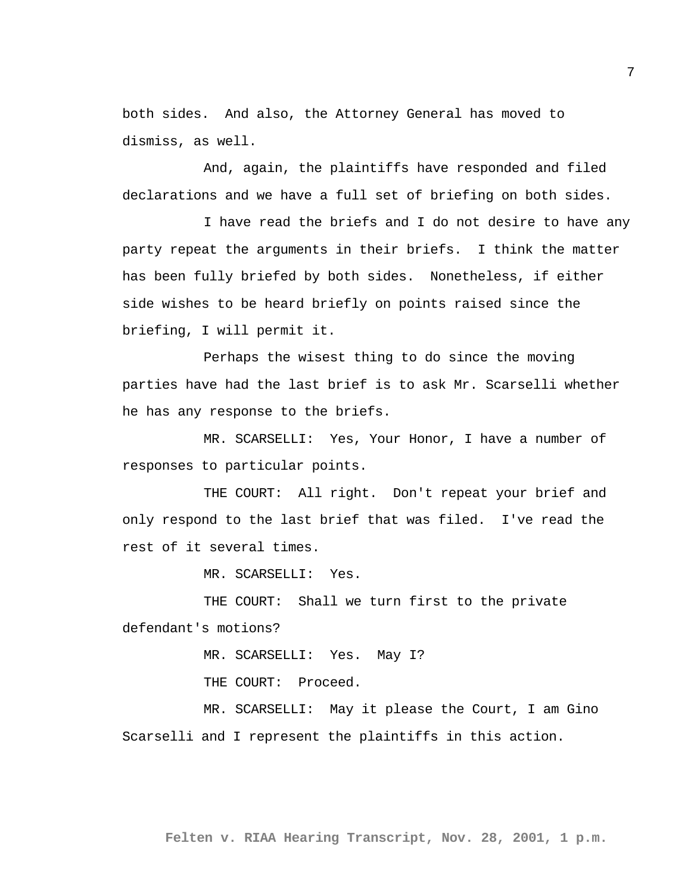both sides. And also, the Attorney General has moved to dismiss, as well.

And, again, the plaintiffs have responded and filed declarations and we have a full set of briefing on both sides.

I have read the briefs and I do not desire to have any party repeat the arguments in their briefs. I think the matter has been fully briefed by both sides. Nonetheless, if either side wishes to be heard briefly on points raised since the briefing, I will permit it.

Perhaps the wisest thing to do since the moving parties have had the last brief is to ask Mr. Scarselli whether he has any response to the briefs.

MR. SCARSELLI: Yes, Your Honor, I have a number of responses to particular points.

THE COURT: All right. Don't repeat your brief and only respond to the last brief that was filed. I've read the rest of it several times.

MR. SCARSELLI: Yes.

THE COURT: Shall we turn first to the private defendant's motions?

MR. SCARSELLI: Yes. May I?

THE COURT: Proceed.

MR. SCARSELLI: May it please the Court, I am Gino Scarselli and I represent the plaintiffs in this action.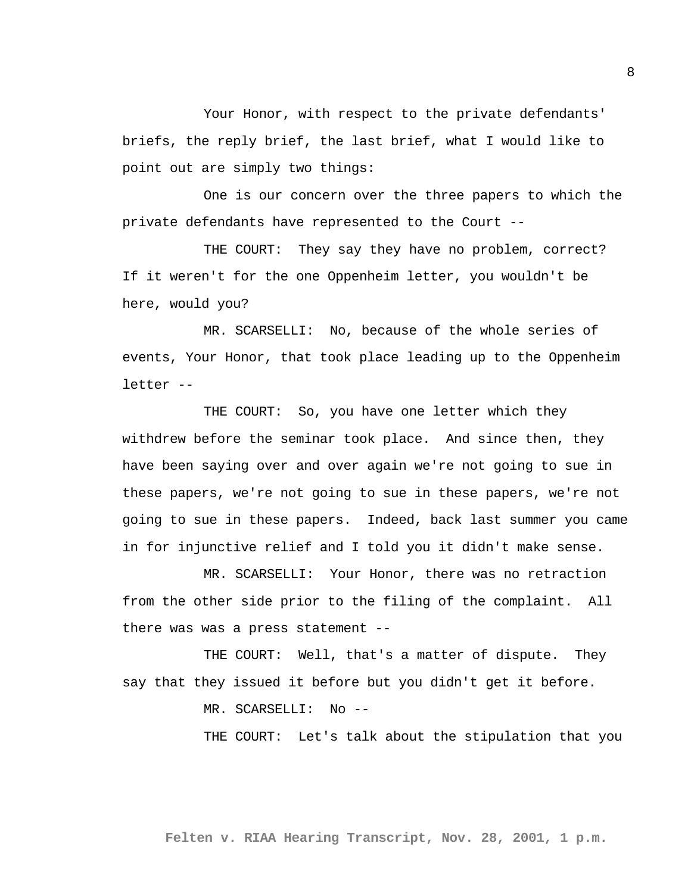Your Honor, with respect to the private defendants' briefs, the reply brief, the last brief, what I would like to point out are simply two things:

One is our concern over the three papers to which the private defendants have represented to the Court --

THE COURT: They say they have no problem, correct? If it weren't for the one Oppenheim letter, you wouldn't be here, would you?

MR. SCARSELLI: No, because of the whole series of events, Your Honor, that took place leading up to the Oppenheim letter --

THE COURT: So, you have one letter which they withdrew before the seminar took place. And since then, they have been saying over and over again we're not going to sue in these papers, we're not going to sue in these papers, we're not going to sue in these papers. Indeed, back last summer you came in for injunctive relief and I told you it didn't make sense.

MR. SCARSELLI: Your Honor, there was no retraction from the other side prior to the filing of the complaint. All there was was a press statement --

THE COURT: Well, that's a matter of dispute. They say that they issued it before but you didn't get it before.

MR. SCARSELLI: No --

THE COURT: Let's talk about the stipulation that you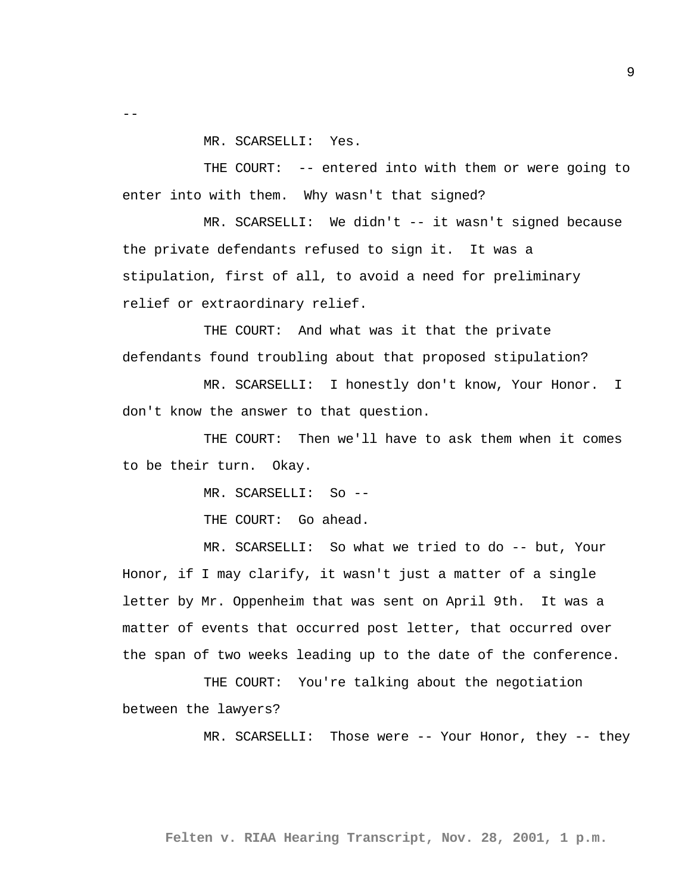MR. SCARSELLI: Yes.

 $- -$ 

THE COURT: -- entered into with them or were going to enter into with them. Why wasn't that signed?

MR. SCARSELLI: We didn't -- it wasn't signed because the private defendants refused to sign it. It was a stipulation, first of all, to avoid a need for preliminary relief or extraordinary relief.

THE COURT: And what was it that the private defendants found troubling about that proposed stipulation?

MR. SCARSELLI: I honestly don't know, Your Honor. I don't know the answer to that question.

THE COURT: Then we'll have to ask them when it comes to be their turn. Okay.

MR. SCARSELLI: So --

THE COURT: Go ahead.

MR. SCARSELLI: So what we tried to do -- but, Your Honor, if I may clarify, it wasn't just a matter of a single letter by Mr. Oppenheim that was sent on April 9th. It was a matter of events that occurred post letter, that occurred over the span of two weeks leading up to the date of the conference.

THE COURT: You're talking about the negotiation between the lawyers?

MR. SCARSELLI: Those were -- Your Honor, they -- they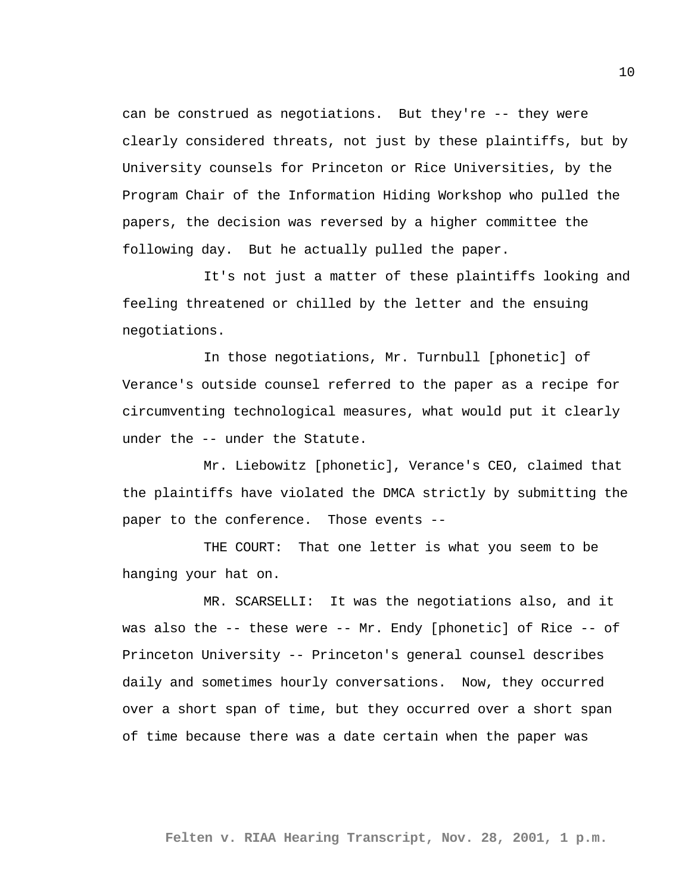can be construed as negotiations. But they're -- they were clearly considered threats, not just by these plaintiffs, but by University counsels for Princeton or Rice Universities, by the Program Chair of the Information Hiding Workshop who pulled the papers, the decision was reversed by a higher committee the following day. But he actually pulled the paper.

It's not just a matter of these plaintiffs looking and feeling threatened or chilled by the letter and the ensuing negotiations.

In those negotiations, Mr. Turnbull [phonetic] of Verance's outside counsel referred to the paper as a recipe for circumventing technological measures, what would put it clearly under the -- under the Statute.

Mr. Liebowitz [phonetic], Verance's CEO, claimed that the plaintiffs have violated the DMCA strictly by submitting the paper to the conference. Those events --

THE COURT: That one letter is what you seem to be hanging your hat on.

MR. SCARSELLI: It was the negotiations also, and it was also the -- these were -- Mr. Endy [phonetic] of Rice -- of Princeton University -- Princeton's general counsel describes daily and sometimes hourly conversations. Now, they occurred over a short span of time, but they occurred over a short span of time because there was a date certain when the paper was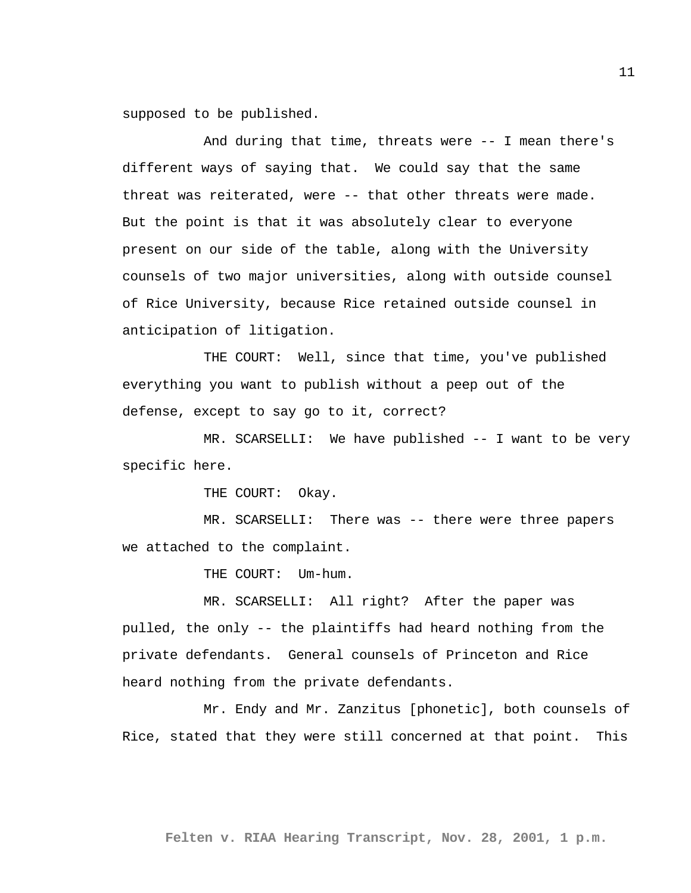supposed to be published.

And during that time, threats were -- I mean there's different ways of saying that. We could say that the same threat was reiterated, were -- that other threats were made. But the point is that it was absolutely clear to everyone present on our side of the table, along with the University counsels of two major universities, along with outside counsel of Rice University, because Rice retained outside counsel in anticipation of litigation.

THE COURT: Well, since that time, you've published everything you want to publish without a peep out of the defense, except to say go to it, correct?

MR. SCARSELLI: We have published -- I want to be very specific here.

THE COURT: Okay.

MR. SCARSELLI: There was -- there were three papers we attached to the complaint.

THE COURT: Um-hum.

MR. SCARSELLI: All right? After the paper was pulled, the only -- the plaintiffs had heard nothing from the private defendants. General counsels of Princeton and Rice heard nothing from the private defendants.

Mr. Endy and Mr. Zanzitus [phonetic], both counsels of Rice, stated that they were still concerned at that point. This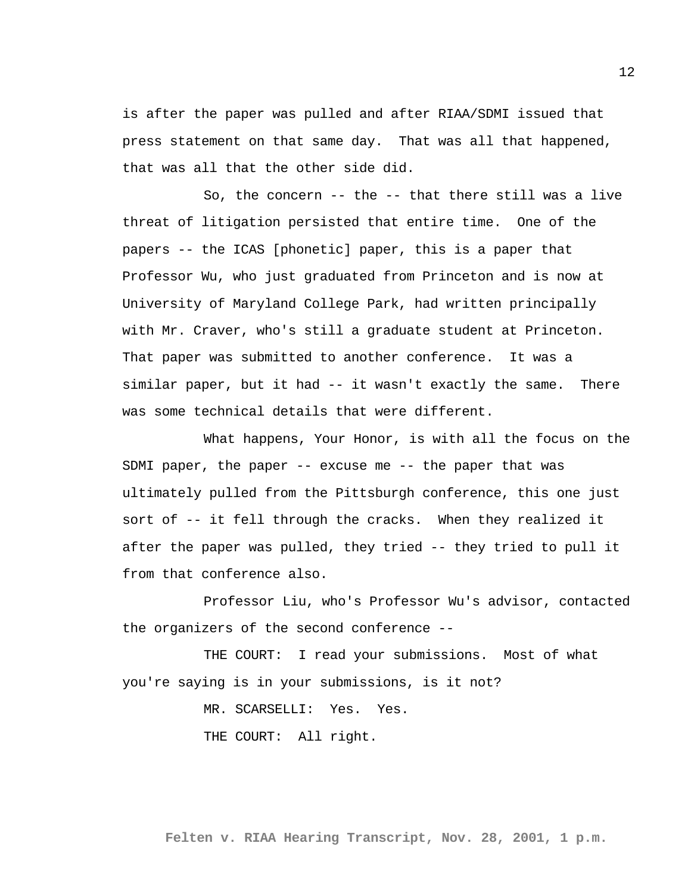is after the paper was pulled and after RIAA/SDMI issued that press statement on that same day. That was all that happened, that was all that the other side did.

So, the concern -- the -- that there still was a live threat of litigation persisted that entire time. One of the papers -- the ICAS [phonetic] paper, this is a paper that Professor Wu, who just graduated from Princeton and is now at University of Maryland College Park, had written principally with Mr. Craver, who's still a graduate student at Princeton. That paper was submitted to another conference. It was a similar paper, but it had -- it wasn't exactly the same. There was some technical details that were different.

What happens, Your Honor, is with all the focus on the SDMI paper, the paper -- excuse me -- the paper that was ultimately pulled from the Pittsburgh conference, this one just sort of -- it fell through the cracks. When they realized it after the paper was pulled, they tried -- they tried to pull it from that conference also.

Professor Liu, who's Professor Wu's advisor, contacted the organizers of the second conference --

THE COURT: I read your submissions. Most of what you're saying is in your submissions, is it not?

> MR. SCARSELLI: Yes. Yes. THE COURT: All right.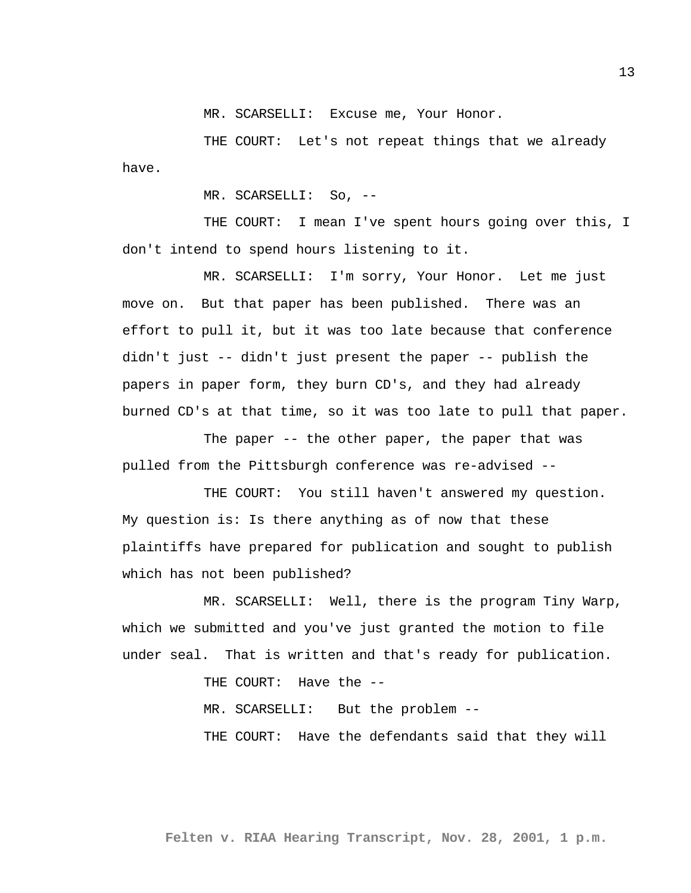MR. SCARSELLI: Excuse me, Your Honor.

THE COURT: Let's not repeat things that we already have.

MR. SCARSELLI: So, --

THE COURT: I mean I've spent hours going over this, I don't intend to spend hours listening to it.

MR. SCARSELLI: I'm sorry, Your Honor. Let me just move on. But that paper has been published. There was an effort to pull it, but it was too late because that conference didn't just -- didn't just present the paper -- publish the papers in paper form, they burn CD's, and they had already burned CD's at that time, so it was too late to pull that paper.

The paper -- the other paper, the paper that was pulled from the Pittsburgh conference was re-advised --

THE COURT: You still haven't answered my question. My question is: Is there anything as of now that these plaintiffs have prepared for publication and sought to publish which has not been published?

MR. SCARSELLI: Well, there is the program Tiny Warp, which we submitted and you've just granted the motion to file under seal. That is written and that's ready for publication.

THE COURT: Have the --

MR. SCARSELLI: But the problem --

THE COURT: Have the defendants said that they will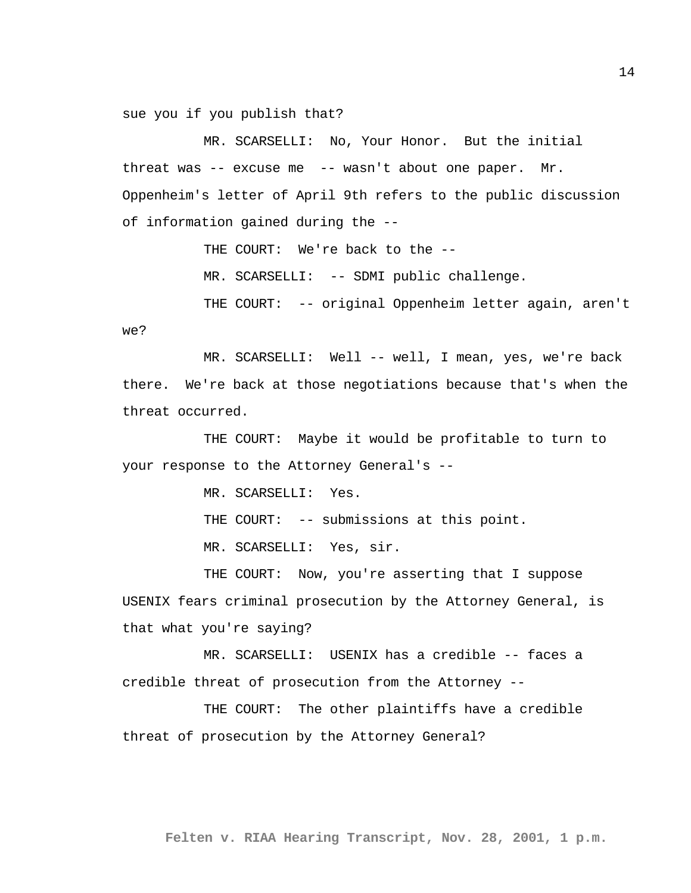sue you if you publish that?

MR. SCARSELLI: No, Your Honor. But the initial threat was -- excuse me -- wasn't about one paper. Mr. Oppenheim's letter of April 9th refers to the public discussion of information gained during the --

THE COURT: We're back to the --

MR. SCARSELLI: -- SDMI public challenge.

THE COURT: -- original Oppenheim letter again, aren't we?

MR. SCARSELLI: Well -- well, I mean, yes, we're back there. We're back at those negotiations because that's when the threat occurred.

THE COURT: Maybe it would be profitable to turn to your response to the Attorney General's --

MR. SCARSELLI: Yes.

THE COURT: -- submissions at this point.

MR. SCARSELLI: Yes, sir.

THE COURT: Now, you're asserting that I suppose USENIX fears criminal prosecution by the Attorney General, is that what you're saying?

MR. SCARSELLI: USENIX has a credible -- faces a credible threat of prosecution from the Attorney --

THE COURT: The other plaintiffs have a credible threat of prosecution by the Attorney General?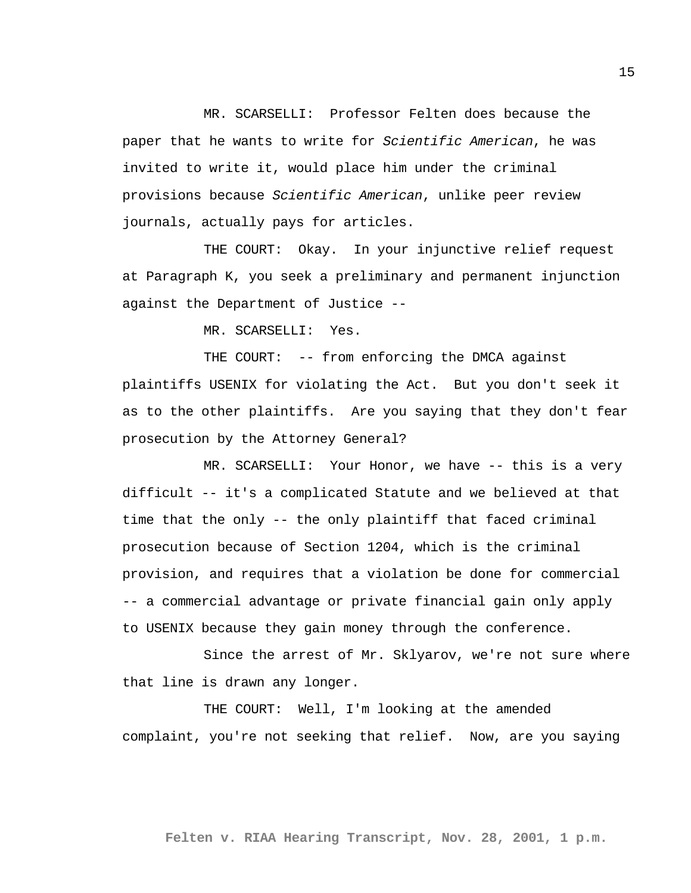MR. SCARSELLI: Professor Felten does because the paper that he wants to write for *Scientific American*, he was invited to write it, would place him under the criminal provisions because *Scientific American*, unlike peer review journals, actually pays for articles.

THE COURT: Okay. In your injunctive relief request at Paragraph K, you seek a preliminary and permanent injunction against the Department of Justice --

MR. SCARSELLI: Yes.

THE COURT: -- from enforcing the DMCA against plaintiffs USENIX for violating the Act. But you don't seek it as to the other plaintiffs. Are you saying that they don't fear prosecution by the Attorney General?

MR. SCARSELLI: Your Honor, we have -- this is a very difficult -- it's a complicated Statute and we believed at that time that the only -- the only plaintiff that faced criminal prosecution because of Section 1204, which is the criminal provision, and requires that a violation be done for commercial -- a commercial advantage or private financial gain only apply to USENIX because they gain money through the conference.

Since the arrest of Mr. Sklyarov, we're not sure where that line is drawn any longer.

THE COURT: Well, I'm looking at the amended complaint, you're not seeking that relief. Now, are you saying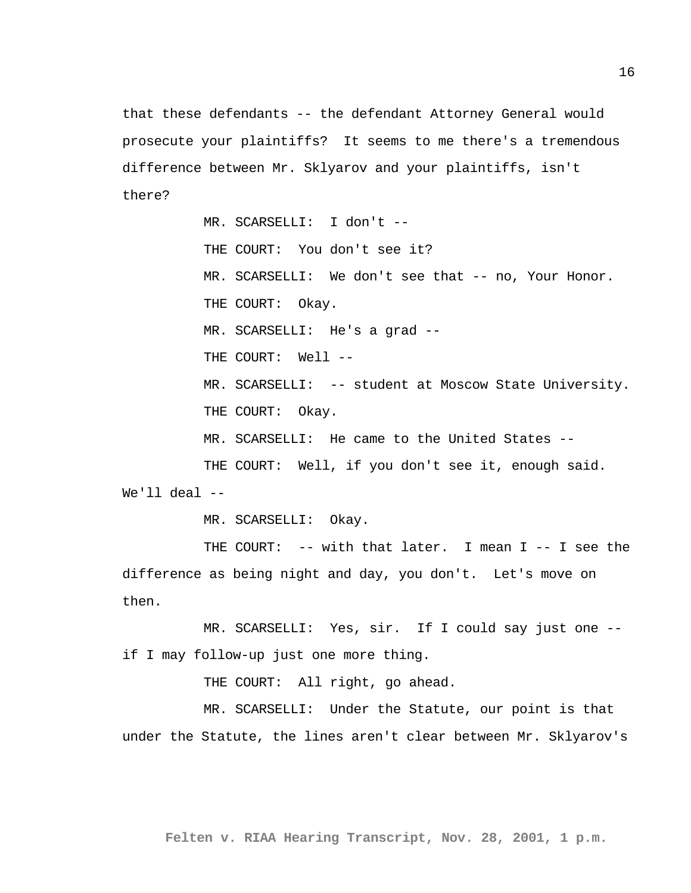that these defendants -- the defendant Attorney General would prosecute your plaintiffs? It seems to me there's a tremendous difference between Mr. Sklyarov and your plaintiffs, isn't there?

MR. SCARSELLI: I don't -- THE COURT: You don't see it? MR. SCARSELLI: We don't see that -- no, Your Honor. THE COURT: Okay. MR. SCARSELLI: He's a grad -- THE COURT: Well --MR. SCARSELLI: -- student at Moscow State University. THE COURT: Okay. MR. SCARSELLI: He came to the United States -- THE COURT: Well, if you don't see it, enough said. We'll  $deal$  --

MR. SCARSELLI: Okay.

THE COURT: -- with that later. I mean I -- I see the difference as being night and day, you don't. Let's move on then.

MR. SCARSELLI: Yes, sir. If I could say just one - if I may follow-up just one more thing.

THE COURT: All right, go ahead.

MR. SCARSELLI: Under the Statute, our point is that under the Statute, the lines aren't clear between Mr. Sklyarov's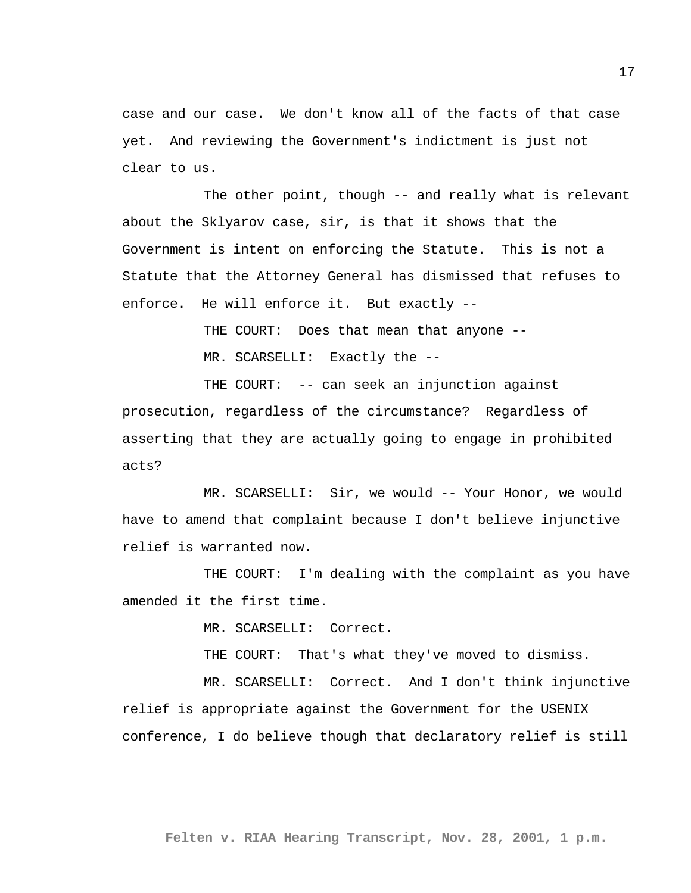case and our case. We don't know all of the facts of that case yet. And reviewing the Government's indictment is just not clear to us.

The other point, though -- and really what is relevant about the Sklyarov case, sir, is that it shows that the Government is intent on enforcing the Statute. This is not a Statute that the Attorney General has dismissed that refuses to enforce. He will enforce it. But exactly --

> THE COURT: Does that mean that anyone -- MR. SCARSELLI: Exactly the --

THE COURT: -- can seek an injunction against prosecution, regardless of the circumstance? Regardless of asserting that they are actually going to engage in prohibited acts?

MR. SCARSELLI: Sir, we would -- Your Honor, we would have to amend that complaint because I don't believe injunctive relief is warranted now.

THE COURT: I'm dealing with the complaint as you have amended it the first time.

MR. SCARSELLI: Correct.

THE COURT: That's what they've moved to dismiss.

MR. SCARSELLI: Correct. And I don't think injunctive relief is appropriate against the Government for the USENIX conference, I do believe though that declaratory relief is still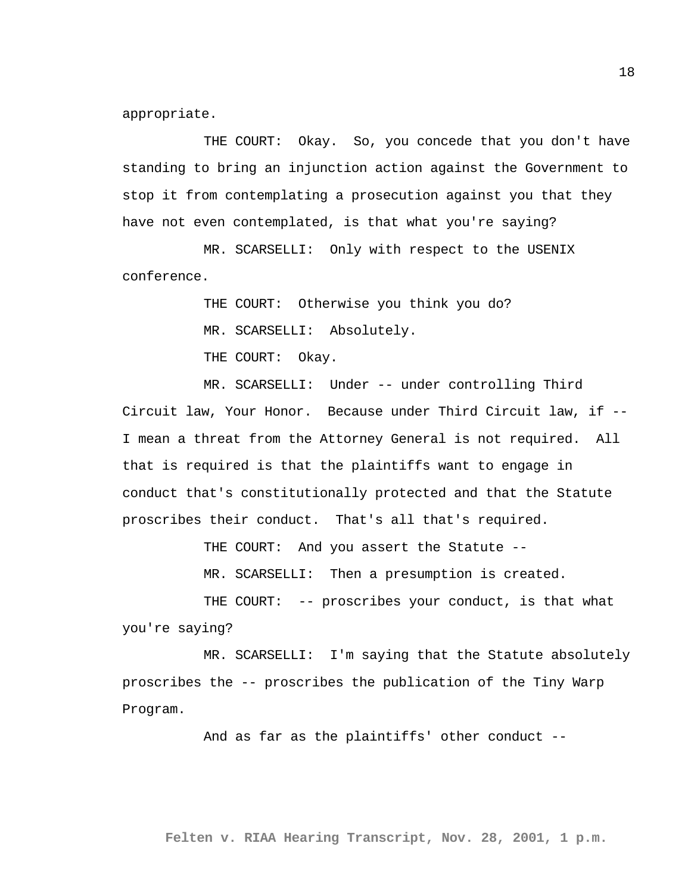appropriate.

THE COURT: Okay. So, you concede that you don't have standing to bring an injunction action against the Government to stop it from contemplating a prosecution against you that they have not even contemplated, is that what you're saying?

MR. SCARSELLI: Only with respect to the USENIX conference.

THE COURT: Otherwise you think you do?

MR. SCARSELLI: Absolutely.

THE COURT: Okay.

MR. SCARSELLI: Under -- under controlling Third Circuit law, Your Honor. Because under Third Circuit law, if -- I mean a threat from the Attorney General is not required. All that is required is that the plaintiffs want to engage in conduct that's constitutionally protected and that the Statute proscribes their conduct. That's all that's required.

THE COURT: And you assert the Statute --

MR. SCARSELLI: Then a presumption is created.

THE COURT: -- proscribes your conduct, is that what you're saying?

MR. SCARSELLI: I'm saying that the Statute absolutely proscribes the -- proscribes the publication of the Tiny Warp Program.

And as far as the plaintiffs' other conduct --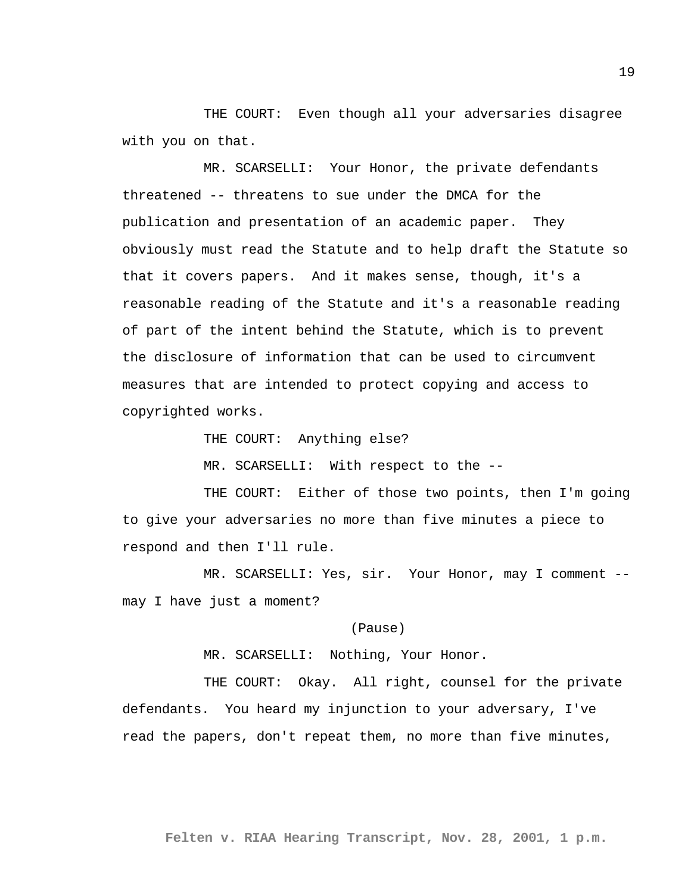THE COURT: Even though all your adversaries disagree with you on that.

MR. SCARSELLI: Your Honor, the private defendants threatened -- threatens to sue under the DMCA for the publication and presentation of an academic paper. They obviously must read the Statute and to help draft the Statute so that it covers papers. And it makes sense, though, it's a reasonable reading of the Statute and it's a reasonable reading of part of the intent behind the Statute, which is to prevent the disclosure of information that can be used to circumvent measures that are intended to protect copying and access to copyrighted works.

THE COURT: Anything else?

MR. SCARSELLI: With respect to the --

THE COURT: Either of those two points, then I'm going to give your adversaries no more than five minutes a piece to respond and then I'll rule.

MR. SCARSELLI: Yes, sir. Your Honor, may I comment - may I have just a moment?

(Pause)

MR. SCARSELLI: Nothing, Your Honor.

THE COURT: Okay. All right, counsel for the private defendants. You heard my injunction to your adversary, I've read the papers, don't repeat them, no more than five minutes,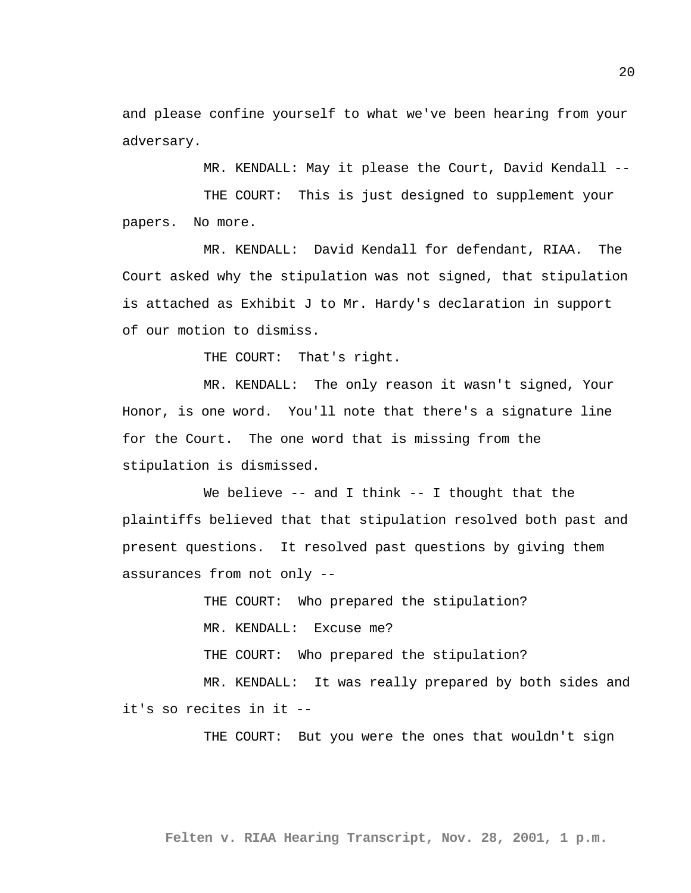and please confine yourself to what we've been hearing from your adversary.

MR. KENDALL: May it please the Court, David Kendall --

THE COURT: This is just designed to supplement your papers. No more.

MR. KENDALL: David Kendall for defendant, RIAA. The Court asked why the stipulation was not signed, that stipulation is attached as Exhibit J to Mr. Hardy's declaration in support of our motion to dismiss.

THE COURT: That's right.

MR. KENDALL: The only reason it wasn't signed, Your Honor, is one word. You'll note that there's a signature line for the Court. The one word that is missing from the stipulation is dismissed.

We believe -- and I think -- I thought that the plaintiffs believed that that stipulation resolved both past and present questions. It resolved past questions by giving them assurances from not only --

THE COURT: Who prepared the stipulation?

MR. KENDALL: Excuse me?

THE COURT: Who prepared the stipulation?

MR. KENDALL: It was really prepared by both sides and it's so recites in it --

THE COURT: But you were the ones that wouldn't sign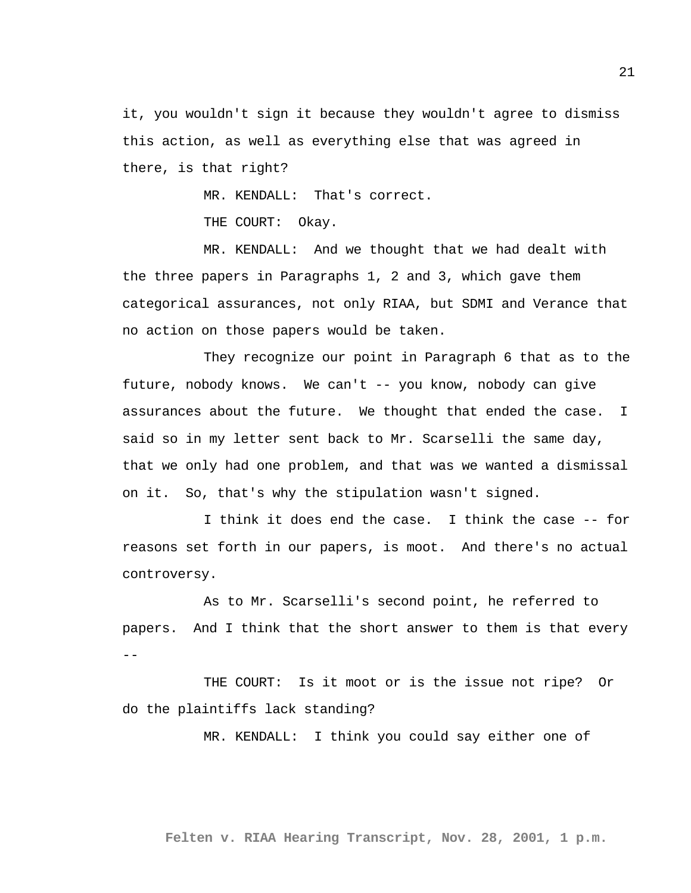it, you wouldn't sign it because they wouldn't agree to dismiss this action, as well as everything else that was agreed in there, is that right?

MR. KENDALL: That's correct.

THE COURT: Okay.

MR. KENDALL: And we thought that we had dealt with the three papers in Paragraphs 1, 2 and 3, which gave them categorical assurances, not only RIAA, but SDMI and Verance that no action on those papers would be taken.

They recognize our point in Paragraph 6 that as to the future, nobody knows. We can't -- you know, nobody can give assurances about the future. We thought that ended the case. I said so in my letter sent back to Mr. Scarselli the same day, that we only had one problem, and that was we wanted a dismissal on it. So, that's why the stipulation wasn't signed.

I think it does end the case. I think the case -- for reasons set forth in our papers, is moot. And there's no actual controversy.

As to Mr. Scarselli's second point, he referred to papers. And I think that the short answer to them is that every --

THE COURT: Is it moot or is the issue not ripe? Or do the plaintiffs lack standing?

MR. KENDALL: I think you could say either one of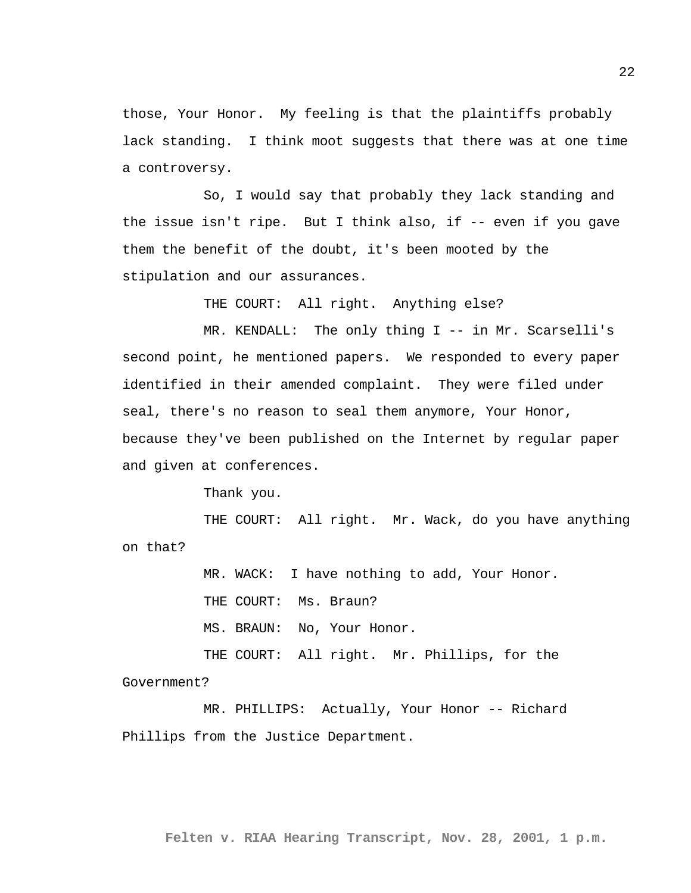those, Your Honor. My feeling is that the plaintiffs probably lack standing. I think moot suggests that there was at one time a controversy.

So, I would say that probably they lack standing and the issue isn't ripe. But I think also, if -- even if you gave them the benefit of the doubt, it's been mooted by the stipulation and our assurances.

THE COURT: All right. Anything else?

MR. KENDALL: The only thing I -- in Mr. Scarselli's second point, he mentioned papers. We responded to every paper identified in their amended complaint. They were filed under seal, there's no reason to seal them anymore, Your Honor, because they've been published on the Internet by regular paper and given at conferences.

Thank you.

THE COURT: All right. Mr. Wack, do you have anything on that?

> MR. WACK: I have nothing to add, Your Honor. THE COURT: Ms. Braun? MS. BRAUN: No, Your Honor. THE COURT: All right. Mr. Phillips, for the

Government?

MR. PHILLIPS: Actually, Your Honor -- Richard Phillips from the Justice Department.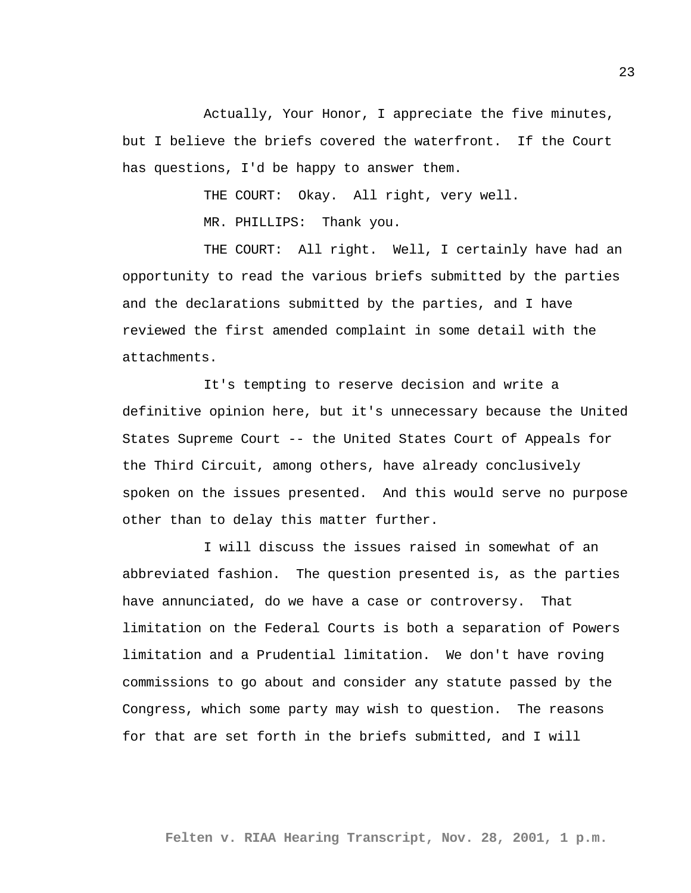Actually, Your Honor, I appreciate the five minutes, but I believe the briefs covered the waterfront. If the Court has questions, I'd be happy to answer them.

THE COURT: Okay. All right, very well.

MR. PHILLIPS: Thank you.

THE COURT: All right. Well, I certainly have had an opportunity to read the various briefs submitted by the parties and the declarations submitted by the parties, and I have reviewed the first amended complaint in some detail with the attachments.

It's tempting to reserve decision and write a definitive opinion here, but it's unnecessary because the United States Supreme Court -- the United States Court of Appeals for the Third Circuit, among others, have already conclusively spoken on the issues presented. And this would serve no purpose other than to delay this matter further.

I will discuss the issues raised in somewhat of an abbreviated fashion. The question presented is, as the parties have annunciated, do we have a case or controversy. That limitation on the Federal Courts is both a separation of Powers limitation and a Prudential limitation. We don't have roving commissions to go about and consider any statute passed by the Congress, which some party may wish to question. The reasons for that are set forth in the briefs submitted, and I will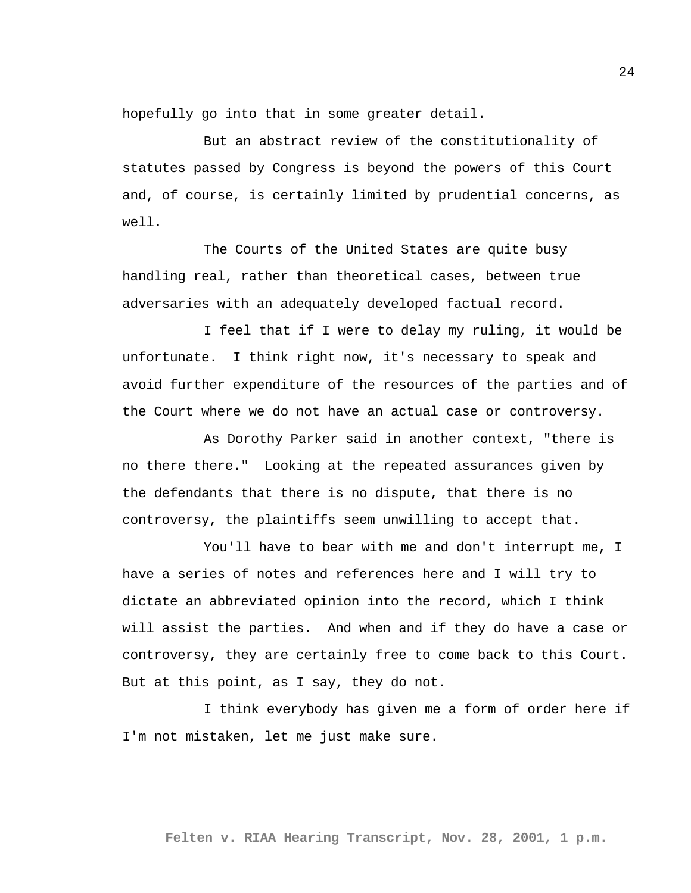hopefully go into that in some greater detail.

But an abstract review of the constitutionality of statutes passed by Congress is beyond the powers of this Court and, of course, is certainly limited by prudential concerns, as well.

The Courts of the United States are quite busy handling real, rather than theoretical cases, between true adversaries with an adequately developed factual record.

I feel that if I were to delay my ruling, it would be unfortunate. I think right now, it's necessary to speak and avoid further expenditure of the resources of the parties and of the Court where we do not have an actual case or controversy.

As Dorothy Parker said in another context, "there is no there there." Looking at the repeated assurances given by the defendants that there is no dispute, that there is no controversy, the plaintiffs seem unwilling to accept that.

You'll have to bear with me and don't interrupt me, I have a series of notes and references here and I will try to dictate an abbreviated opinion into the record, which I think will assist the parties. And when and if they do have a case or controversy, they are certainly free to come back to this Court. But at this point, as I say, they do not.

I think everybody has given me a form of order here if I'm not mistaken, let me just make sure.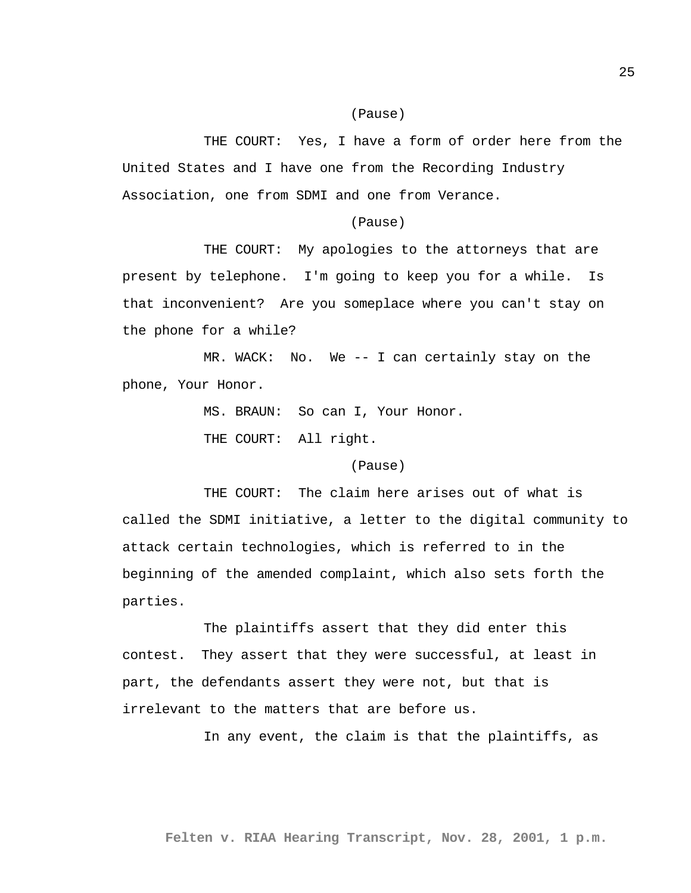### (Pause)

THE COURT: Yes, I have a form of order here from the United States and I have one from the Recording Industry Association, one from SDMI and one from Verance.

#### (Pause)

THE COURT: My apologies to the attorneys that are present by telephone. I'm going to keep you for a while. Is that inconvenient? Are you someplace where you can't stay on the phone for a while?

MR. WACK: No. We -- I can certainly stay on the phone, Your Honor.

> MS. BRAUN: So can I, Your Honor. THE COURT: All right.

> > (Pause)

THE COURT: The claim here arises out of what is called the SDMI initiative, a letter to the digital community to attack certain technologies, which is referred to in the beginning of the amended complaint, which also sets forth the parties.

The plaintiffs assert that they did enter this contest. They assert that they were successful, at least in part, the defendants assert they were not, but that is irrelevant to the matters that are before us.

In any event, the claim is that the plaintiffs, as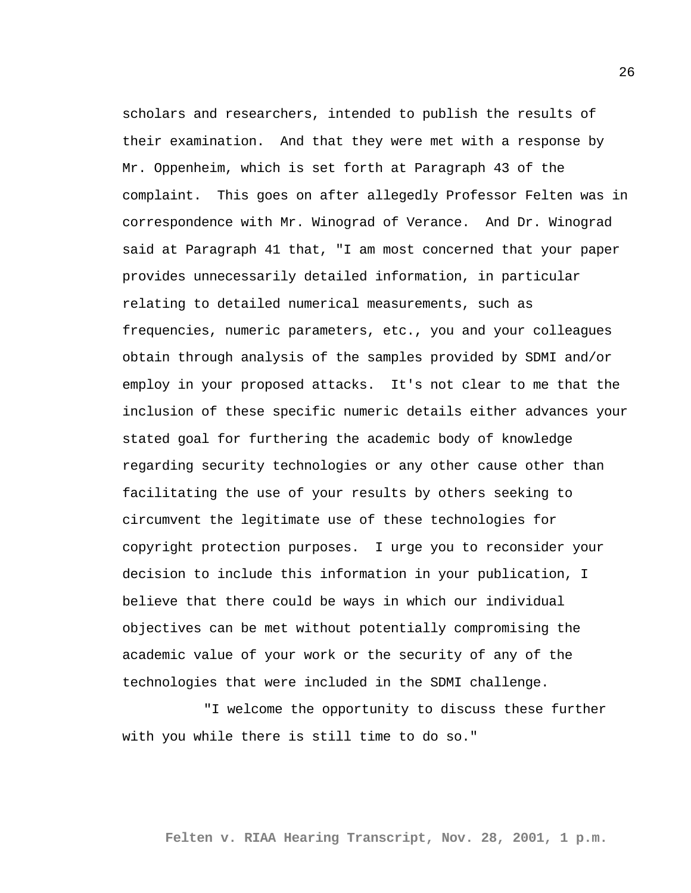scholars and researchers, intended to publish the results of their examination. And that they were met with a response by Mr. Oppenheim, which is set forth at Paragraph 43 of the complaint. This goes on after allegedly Professor Felten was in correspondence with Mr. Winograd of Verance. And Dr. Winograd said at Paragraph 41 that, "I am most concerned that your paper provides unnecessarily detailed information, in particular relating to detailed numerical measurements, such as frequencies, numeric parameters, etc., you and your colleagues obtain through analysis of the samples provided by SDMI and/or employ in your proposed attacks. It's not clear to me that the inclusion of these specific numeric details either advances your stated goal for furthering the academic body of knowledge regarding security technologies or any other cause other than facilitating the use of your results by others seeking to circumvent the legitimate use of these technologies for copyright protection purposes. I urge you to reconsider your decision to include this information in your publication, I believe that there could be ways in which our individual objectives can be met without potentially compromising the academic value of your work or the security of any of the technologies that were included in the SDMI challenge.

"I welcome the opportunity to discuss these further with you while there is still time to do so."

**Felten v. RIAA Hearing Transcript, Nov. 28, 2001, 1 p.m.**

26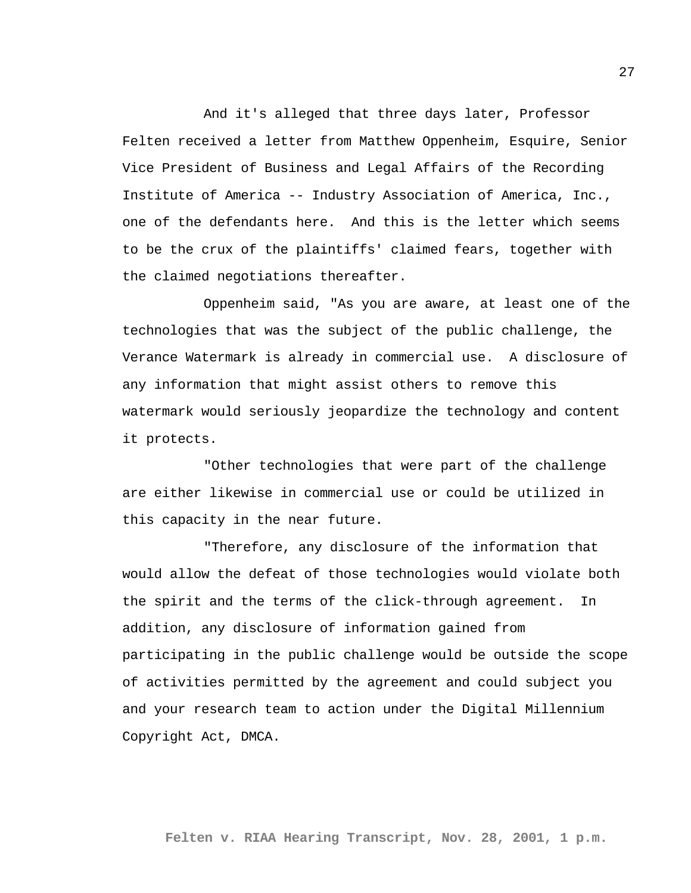And it's alleged that three days later, Professor Felten received a letter from Matthew Oppenheim, Esquire, Senior Vice President of Business and Legal Affairs of the Recording Institute of America -- Industry Association of America, Inc., one of the defendants here. And this is the letter which seems to be the crux of the plaintiffs' claimed fears, together with the claimed negotiations thereafter.

Oppenheim said, "As you are aware, at least one of the technologies that was the subject of the public challenge, the Verance Watermark is already in commercial use. A disclosure of any information that might assist others to remove this watermark would seriously jeopardize the technology and content it protects.

"Other technologies that were part of the challenge are either likewise in commercial use or could be utilized in this capacity in the near future.

"Therefore, any disclosure of the information that would allow the defeat of those technologies would violate both the spirit and the terms of the click-through agreement. In addition, any disclosure of information gained from participating in the public challenge would be outside the scope of activities permitted by the agreement and could subject you and your research team to action under the Digital Millennium Copyright Act, DMCA.

27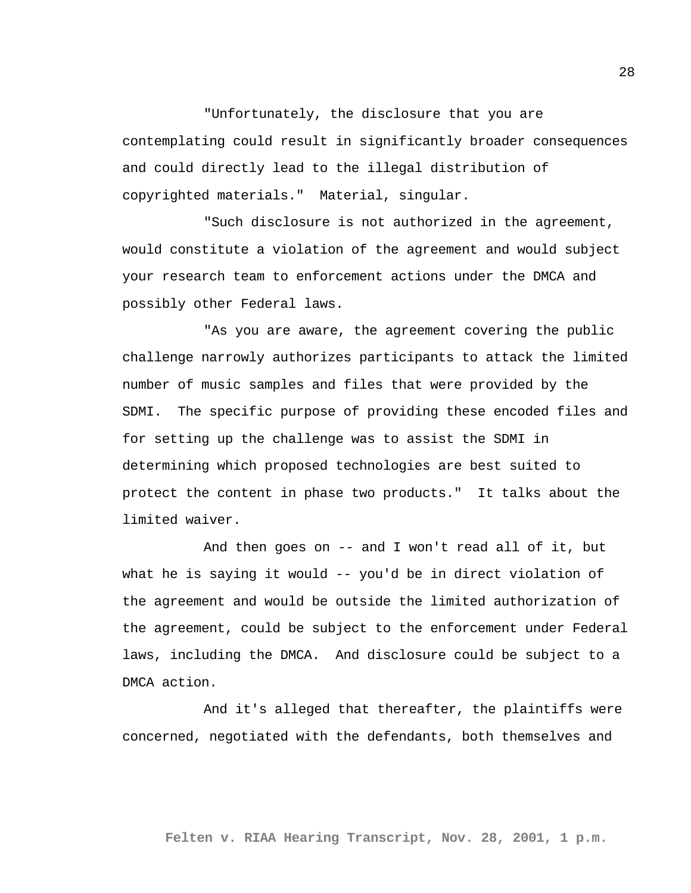"Unfortunately, the disclosure that you are contemplating could result in significantly broader consequences and could directly lead to the illegal distribution of copyrighted materials." Material, singular.

"Such disclosure is not authorized in the agreement, would constitute a violation of the agreement and would subject your research team to enforcement actions under the DMCA and possibly other Federal laws.

"As you are aware, the agreement covering the public challenge narrowly authorizes participants to attack the limited number of music samples and files that were provided by the SDMI. The specific purpose of providing these encoded files and for setting up the challenge was to assist the SDMI in determining which proposed technologies are best suited to protect the content in phase two products." It talks about the limited waiver.

And then goes on -- and I won't read all of it, but what he is saying it would -- you'd be in direct violation of the agreement and would be outside the limited authorization of the agreement, could be subject to the enforcement under Federal laws, including the DMCA. And disclosure could be subject to a DMCA action.

And it's alleged that thereafter, the plaintiffs were concerned, negotiated with the defendants, both themselves and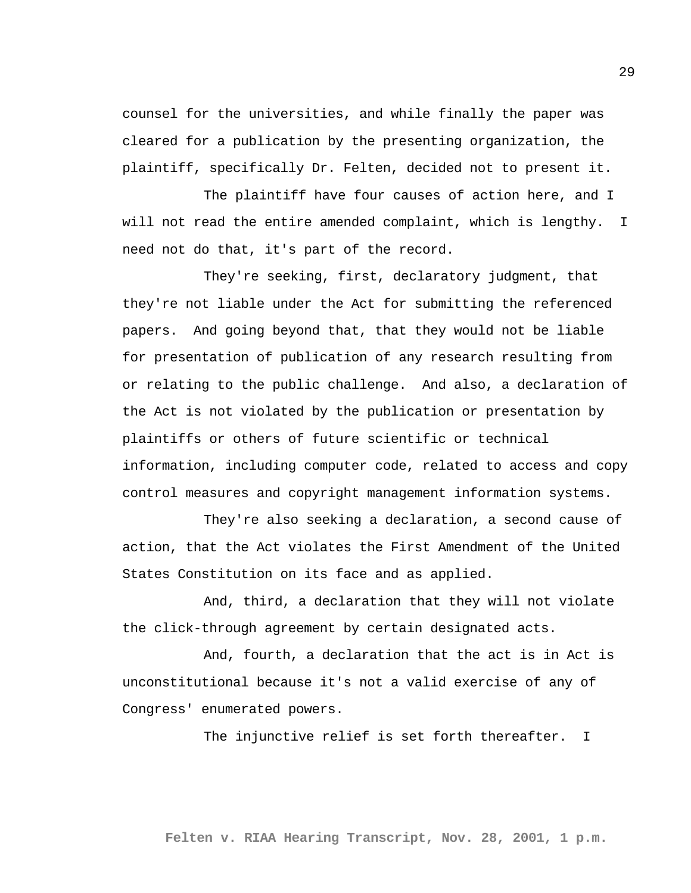counsel for the universities, and while finally the paper was cleared for a publication by the presenting organization, the plaintiff, specifically Dr. Felten, decided not to present it.

The plaintiff have four causes of action here, and I will not read the entire amended complaint, which is lengthy. I need not do that, it's part of the record.

They're seeking, first, declaratory judgment, that they're not liable under the Act for submitting the referenced papers. And going beyond that, that they would not be liable for presentation of publication of any research resulting from or relating to the public challenge. And also, a declaration of the Act is not violated by the publication or presentation by plaintiffs or others of future scientific or technical information, including computer code, related to access and copy control measures and copyright management information systems.

They're also seeking a declaration, a second cause of action, that the Act violates the First Amendment of the United States Constitution on its face and as applied.

And, third, a declaration that they will not violate the click-through agreement by certain designated acts.

And, fourth, a declaration that the act is in Act is unconstitutional because it's not a valid exercise of any of Congress' enumerated powers.

The injunctive relief is set forth thereafter. I

**Felten v. RIAA Hearing Transcript, Nov. 28, 2001, 1 p.m.**

29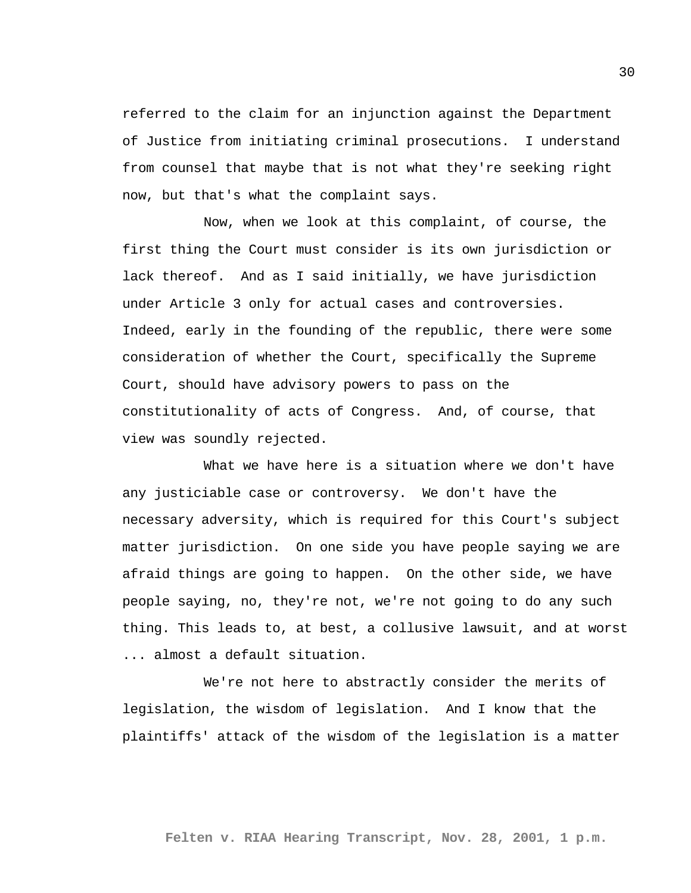referred to the claim for an injunction against the Department of Justice from initiating criminal prosecutions. I understand from counsel that maybe that is not what they're seeking right now, but that's what the complaint says.

Now, when we look at this complaint, of course, the first thing the Court must consider is its own jurisdiction or lack thereof. And as I said initially, we have jurisdiction under Article 3 only for actual cases and controversies. Indeed, early in the founding of the republic, there were some consideration of whether the Court, specifically the Supreme Court, should have advisory powers to pass on the constitutionality of acts of Congress. And, of course, that view was soundly rejected.

What we have here is a situation where we don't have any justiciable case or controversy. We don't have the necessary adversity, which is required for this Court's subject matter jurisdiction. On one side you have people saying we are afraid things are going to happen. On the other side, we have people saying, no, they're not, we're not going to do any such thing. This leads to, at best, a collusive lawsuit, and at worst ... almost a default situation.

We're not here to abstractly consider the merits of legislation, the wisdom of legislation. And I know that the plaintiffs' attack of the wisdom of the legislation is a matter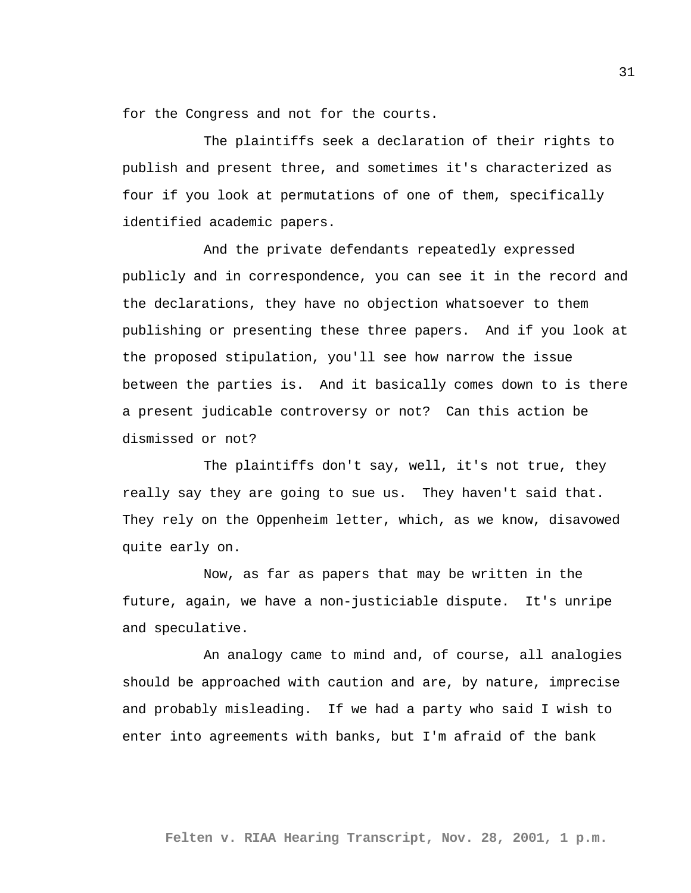for the Congress and not for the courts.

The plaintiffs seek a declaration of their rights to publish and present three, and sometimes it's characterized as four if you look at permutations of one of them, specifically identified academic papers.

And the private defendants repeatedly expressed publicly and in correspondence, you can see it in the record and the declarations, they have no objection whatsoever to them publishing or presenting these three papers. And if you look at the proposed stipulation, you'll see how narrow the issue between the parties is. And it basically comes down to is there a present judicable controversy or not? Can this action be dismissed or not?

The plaintiffs don't say, well, it's not true, they really say they are going to sue us. They haven't said that. They rely on the Oppenheim letter, which, as we know, disavowed quite early on.

Now, as far as papers that may be written in the future, again, we have a non-justiciable dispute. It's unripe and speculative.

An analogy came to mind and, of course, all analogies should be approached with caution and are, by nature, imprecise and probably misleading. If we had a party who said I wish to enter into agreements with banks, but I'm afraid of the bank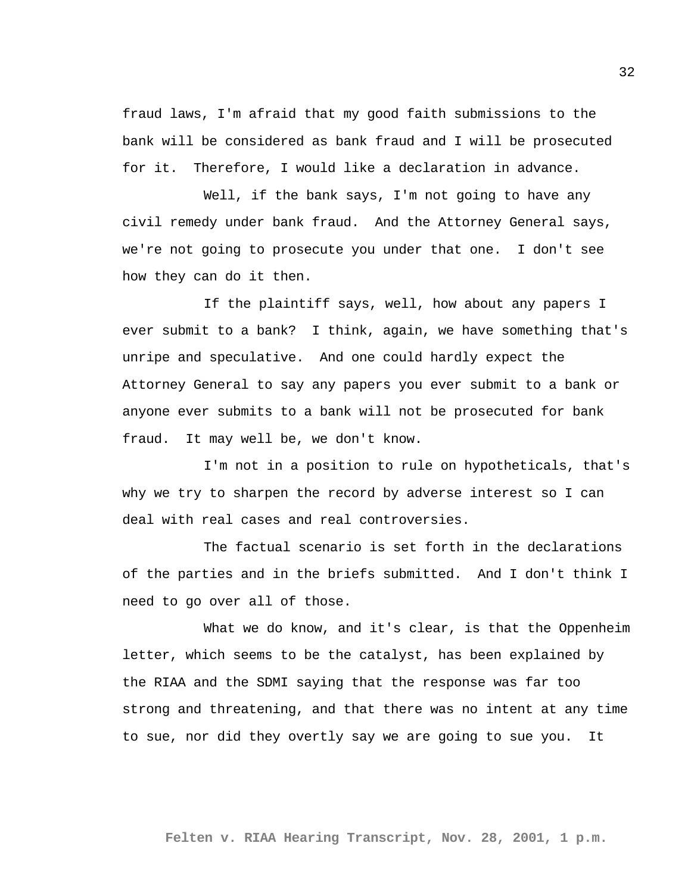fraud laws, I'm afraid that my good faith submissions to the bank will be considered as bank fraud and I will be prosecuted for it. Therefore, I would like a declaration in advance.

Well, if the bank says, I'm not going to have any civil remedy under bank fraud. And the Attorney General says, we're not going to prosecute you under that one. I don't see how they can do it then.

If the plaintiff says, well, how about any papers I ever submit to a bank? I think, again, we have something that's unripe and speculative. And one could hardly expect the Attorney General to say any papers you ever submit to a bank or anyone ever submits to a bank will not be prosecuted for bank fraud. It may well be, we don't know.

I'm not in a position to rule on hypotheticals, that's why we try to sharpen the record by adverse interest so I can deal with real cases and real controversies.

The factual scenario is set forth in the declarations of the parties and in the briefs submitted. And I don't think I need to go over all of those.

What we do know, and it's clear, is that the Oppenheim letter, which seems to be the catalyst, has been explained by the RIAA and the SDMI saying that the response was far too strong and threatening, and that there was no intent at any time to sue, nor did they overtly say we are going to sue you. It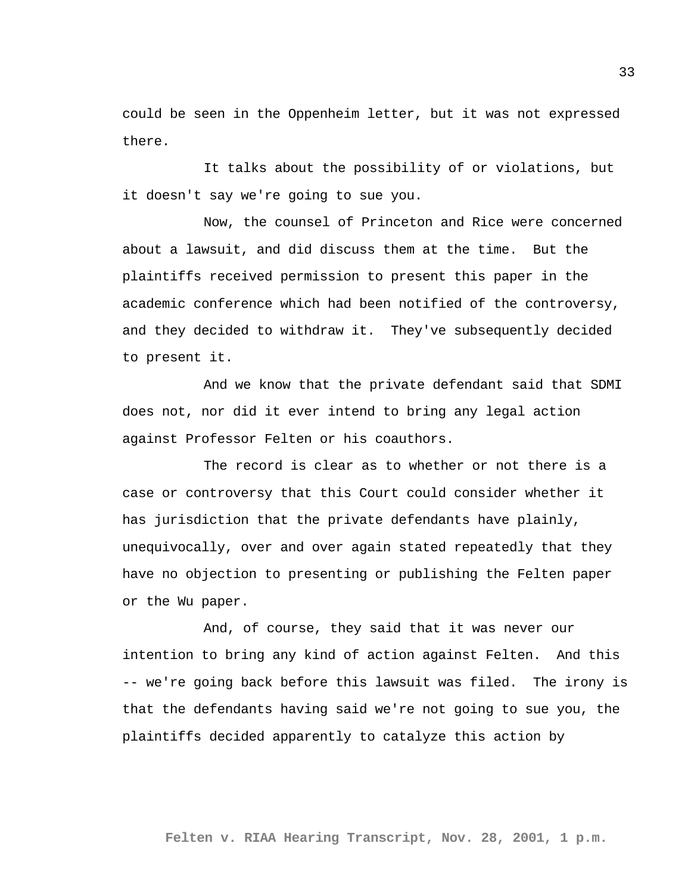could be seen in the Oppenheim letter, but it was not expressed there.

It talks about the possibility of or violations, but it doesn't say we're going to sue you.

Now, the counsel of Princeton and Rice were concerned about a lawsuit, and did discuss them at the time. But the plaintiffs received permission to present this paper in the academic conference which had been notified of the controversy, and they decided to withdraw it. They've subsequently decided to present it.

And we know that the private defendant said that SDMI does not, nor did it ever intend to bring any legal action against Professor Felten or his coauthors.

The record is clear as to whether or not there is a case or controversy that this Court could consider whether it has jurisdiction that the private defendants have plainly, unequivocally, over and over again stated repeatedly that they have no objection to presenting or publishing the Felten paper or the Wu paper.

And, of course, they said that it was never our intention to bring any kind of action against Felten. And this -- we're going back before this lawsuit was filed. The irony is that the defendants having said we're not going to sue you, the plaintiffs decided apparently to catalyze this action by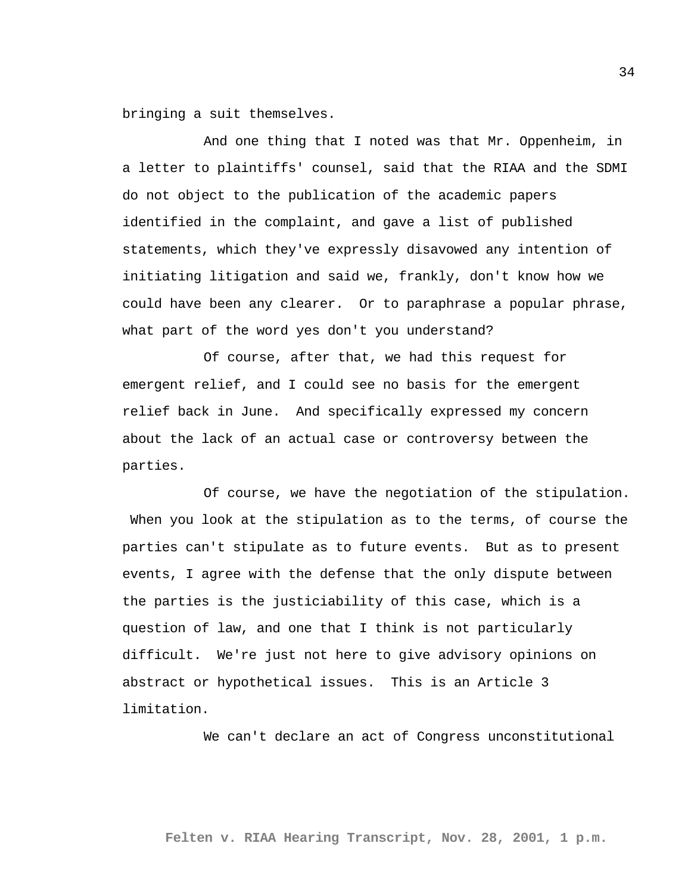bringing a suit themselves.

And one thing that I noted was that Mr. Oppenheim, in a letter to plaintiffs' counsel, said that the RIAA and the SDMI do not object to the publication of the academic papers identified in the complaint, and gave a list of published statements, which they've expressly disavowed any intention of initiating litigation and said we, frankly, don't know how we could have been any clearer. Or to paraphrase a popular phrase, what part of the word yes don't you understand?

Of course, after that, we had this request for emergent relief, and I could see no basis for the emergent relief back in June. And specifically expressed my concern about the lack of an actual case or controversy between the parties.

Of course, we have the negotiation of the stipulation. When you look at the stipulation as to the terms, of course the parties can't stipulate as to future events. But as to present events, I agree with the defense that the only dispute between the parties is the justiciability of this case, which is a question of law, and one that I think is not particularly difficult. We're just not here to give advisory opinions on abstract or hypothetical issues. This is an Article 3 limitation.

We can't declare an act of Congress unconstitutional

**Felten v. RIAA Hearing Transcript, Nov. 28, 2001, 1 p.m.**

34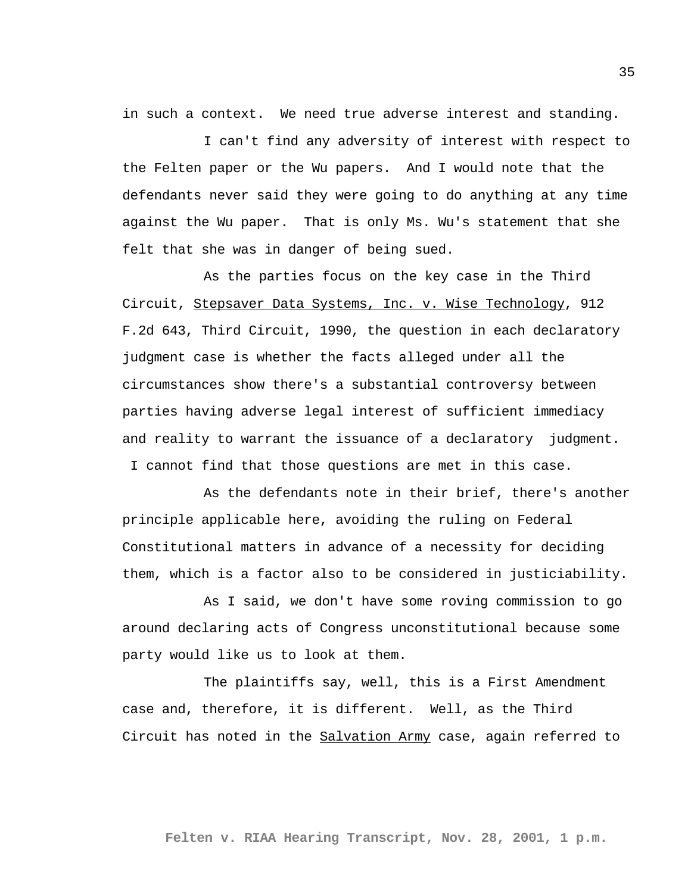in such a context. We need true adverse interest and standing.

I can't find any adversity of interest with respect to the Felten paper or the Wu papers. And I would note that the defendants never said they were going to do anything at any time against the Wu paper. That is only Ms. Wu's statement that she felt that she was in danger of being sued.

As the parties focus on the key case in the Third Circuit, Stepsaver Data Systems, Inc. v. Wise Technology, 912 F.2d 643, Third Circuit, 1990, the question in each declaratory judgment case is whether the facts alleged under all the circumstances show there's a substantial controversy between parties having adverse legal interest of sufficient immediacy and reality to warrant the issuance of a declaratory judgment. I cannot find that those questions are met in this case.

As the defendants note in their brief, there's another principle applicable here, avoiding the ruling on Federal Constitutional matters in advance of a necessity for deciding them, which is a factor also to be considered in justiciability.

As I said, we don't have some roving commission to go around declaring acts of Congress unconstitutional because some party would like us to look at them.

The plaintiffs say, well, this is a First Amendment case and, therefore, it is different. Well, as the Third Circuit has noted in the Salvation Army case, again referred to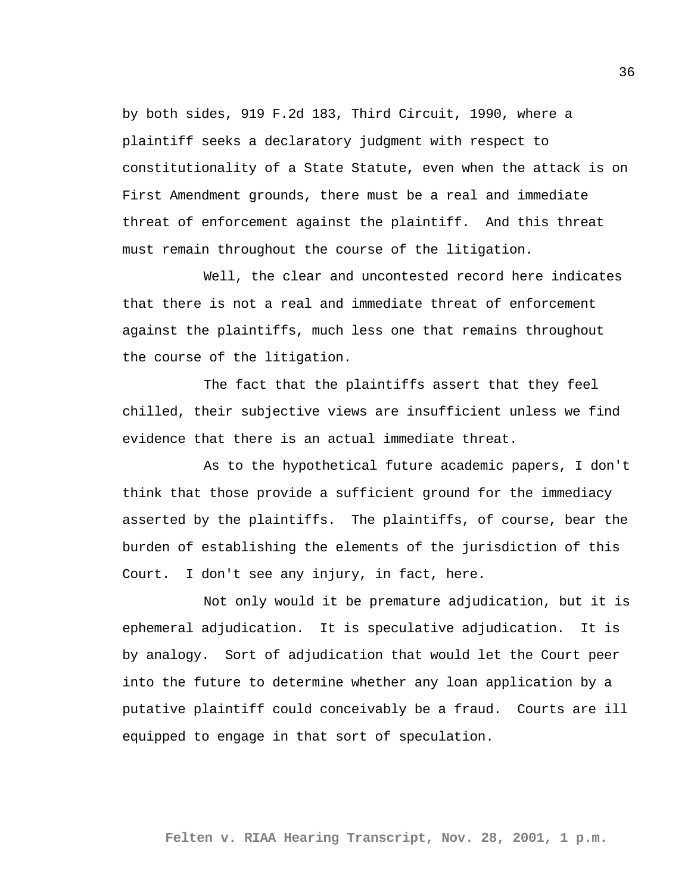by both sides, 919 F.2d 183, Third Circuit, 1990, where a plaintiff seeks a declaratory judgment with respect to constitutionality of a State Statute, even when the attack is on First Amendment grounds, there must be a real and immediate threat of enforcement against the plaintiff. And this threat must remain throughout the course of the litigation.

Well, the clear and uncontested record here indicates that there is not a real and immediate threat of enforcement against the plaintiffs, much less one that remains throughout the course of the litigation.

The fact that the plaintiffs assert that they feel chilled, their subjective views are insufficient unless we find evidence that there is an actual immediate threat.

As to the hypothetical future academic papers, I don't think that those provide a sufficient ground for the immediacy asserted by the plaintiffs. The plaintiffs, of course, bear the burden of establishing the elements of the jurisdiction of this Court. I don't see any injury, in fact, here.

Not only would it be premature adjudication, but it is ephemeral adjudication. It is speculative adjudication. It is by analogy. Sort of adjudication that would let the Court peer into the future to determine whether any loan application by a putative plaintiff could conceivably be a fraud. Courts are ill equipped to engage in that sort of speculation.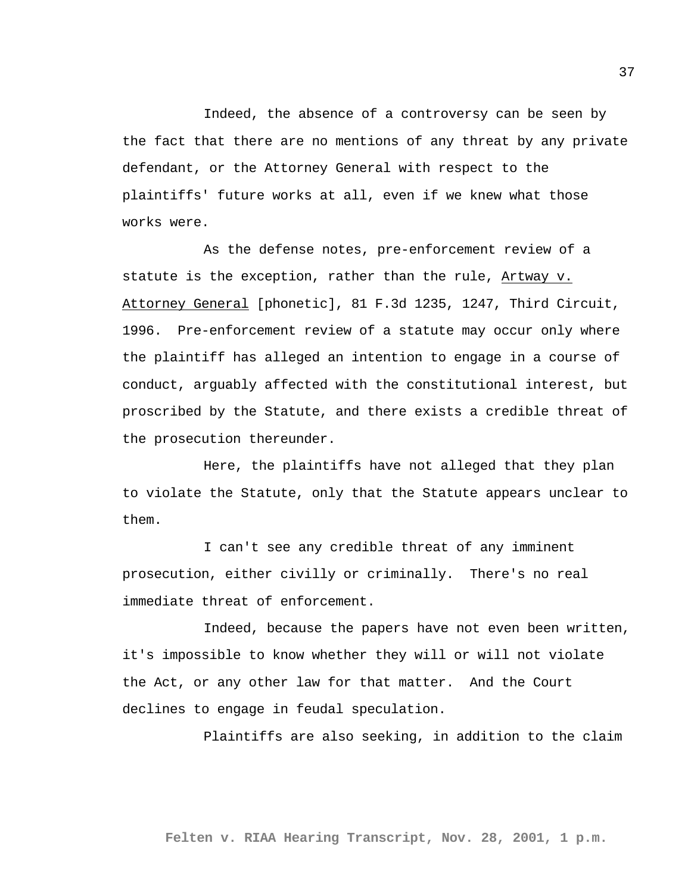Indeed, the absence of a controversy can be seen by the fact that there are no mentions of any threat by any private defendant, or the Attorney General with respect to the plaintiffs' future works at all, even if we knew what those works were.

As the defense notes, pre-enforcement review of a statute is the exception, rather than the rule, Artway v. Attorney General [phonetic], 81 F.3d 1235, 1247, Third Circuit, 1996. Pre-enforcement review of a statute may occur only where the plaintiff has alleged an intention to engage in a course of conduct, arguably affected with the constitutional interest, but proscribed by the Statute, and there exists a credible threat of the prosecution thereunder.

Here, the plaintiffs have not alleged that they plan to violate the Statute, only that the Statute appears unclear to them.

I can't see any credible threat of any imminent prosecution, either civilly or criminally. There's no real immediate threat of enforcement.

Indeed, because the papers have not even been written, it's impossible to know whether they will or will not violate the Act, or any other law for that matter. And the Court declines to engage in feudal speculation.

Plaintiffs are also seeking, in addition to the claim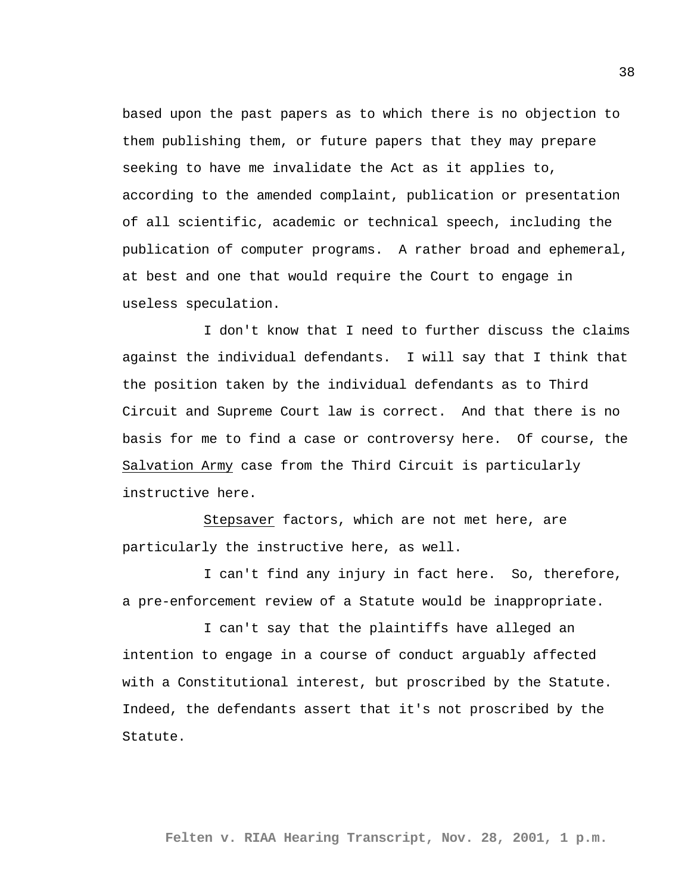based upon the past papers as to which there is no objection to them publishing them, or future papers that they may prepare seeking to have me invalidate the Act as it applies to, according to the amended complaint, publication or presentation of all scientific, academic or technical speech, including the publication of computer programs. A rather broad and ephemeral, at best and one that would require the Court to engage in useless speculation.

I don't know that I need to further discuss the claims against the individual defendants. I will say that I think that the position taken by the individual defendants as to Third Circuit and Supreme Court law is correct. And that there is no basis for me to find a case or controversy here. Of course, the Salvation Army case from the Third Circuit is particularly instructive here.

Stepsaver factors, which are not met here, are particularly the instructive here, as well.

I can't find any injury in fact here. So, therefore, a pre-enforcement review of a Statute would be inappropriate.

I can't say that the plaintiffs have alleged an intention to engage in a course of conduct arguably affected with a Constitutional interest, but proscribed by the Statute. Indeed, the defendants assert that it's not proscribed by the Statute.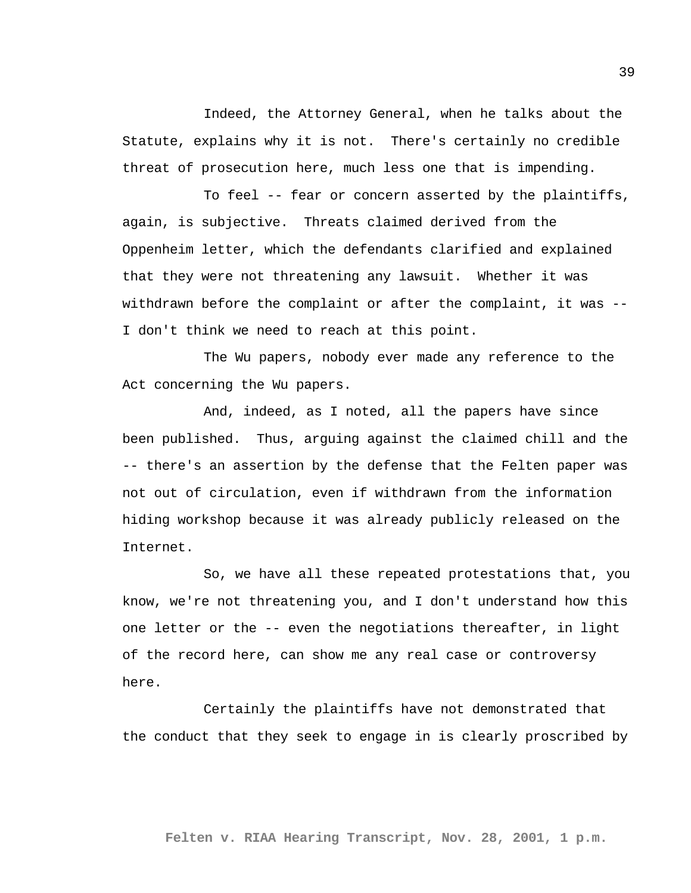Indeed, the Attorney General, when he talks about the Statute, explains why it is not. There's certainly no credible threat of prosecution here, much less one that is impending.

To feel -- fear or concern asserted by the plaintiffs, again, is subjective. Threats claimed derived from the Oppenheim letter, which the defendants clarified and explained that they were not threatening any lawsuit. Whether it was withdrawn before the complaint or after the complaint, it was -- I don't think we need to reach at this point.

The Wu papers, nobody ever made any reference to the Act concerning the Wu papers.

And, indeed, as I noted, all the papers have since been published. Thus, arguing against the claimed chill and the -- there's an assertion by the defense that the Felten paper was not out of circulation, even if withdrawn from the information hiding workshop because it was already publicly released on the Internet.

So, we have all these repeated protestations that, you know, we're not threatening you, and I don't understand how this one letter or the -- even the negotiations thereafter, in light of the record here, can show me any real case or controversy here.

Certainly the plaintiffs have not demonstrated that the conduct that they seek to engage in is clearly proscribed by

**Felten v. RIAA Hearing Transcript, Nov. 28, 2001, 1 p.m.**

39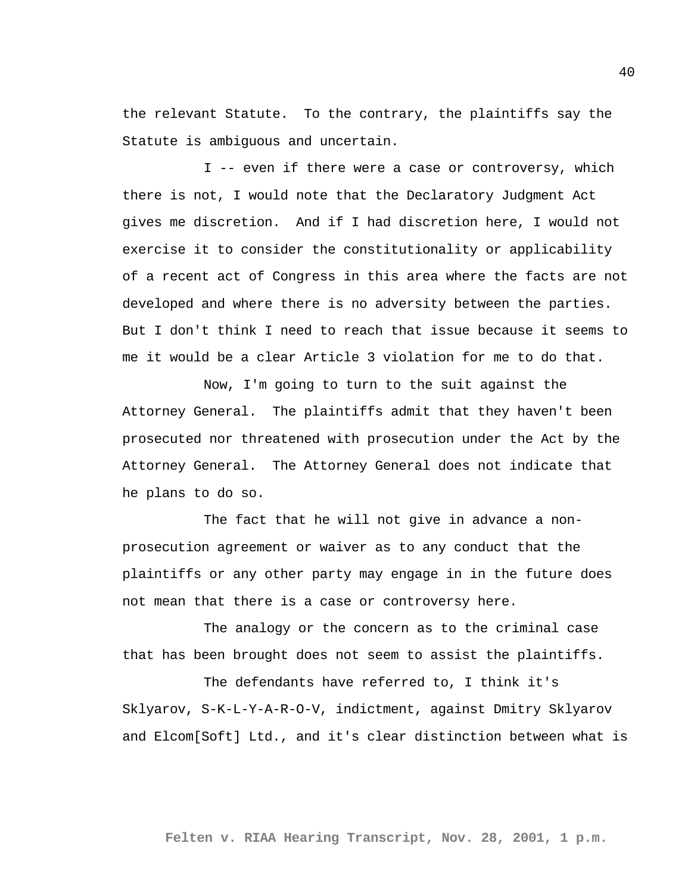the relevant Statute. To the contrary, the plaintiffs say the Statute is ambiguous and uncertain.

I -- even if there were a case or controversy, which there is not, I would note that the Declaratory Judgment Act gives me discretion. And if I had discretion here, I would not exercise it to consider the constitutionality or applicability of a recent act of Congress in this area where the facts are not developed and where there is no adversity between the parties. But I don't think I need to reach that issue because it seems to me it would be a clear Article 3 violation for me to do that.

Now, I'm going to turn to the suit against the Attorney General. The plaintiffs admit that they haven't been prosecuted nor threatened with prosecution under the Act by the Attorney General. The Attorney General does not indicate that he plans to do so.

The fact that he will not give in advance a nonprosecution agreement or waiver as to any conduct that the plaintiffs or any other party may engage in in the future does not mean that there is a case or controversy here.

The analogy or the concern as to the criminal case that has been brought does not seem to assist the plaintiffs.

The defendants have referred to, I think it's Sklyarov, S-K-L-Y-A-R-O-V, indictment, against Dmitry Sklyarov and Elcom[Soft] Ltd., and it's clear distinction between what is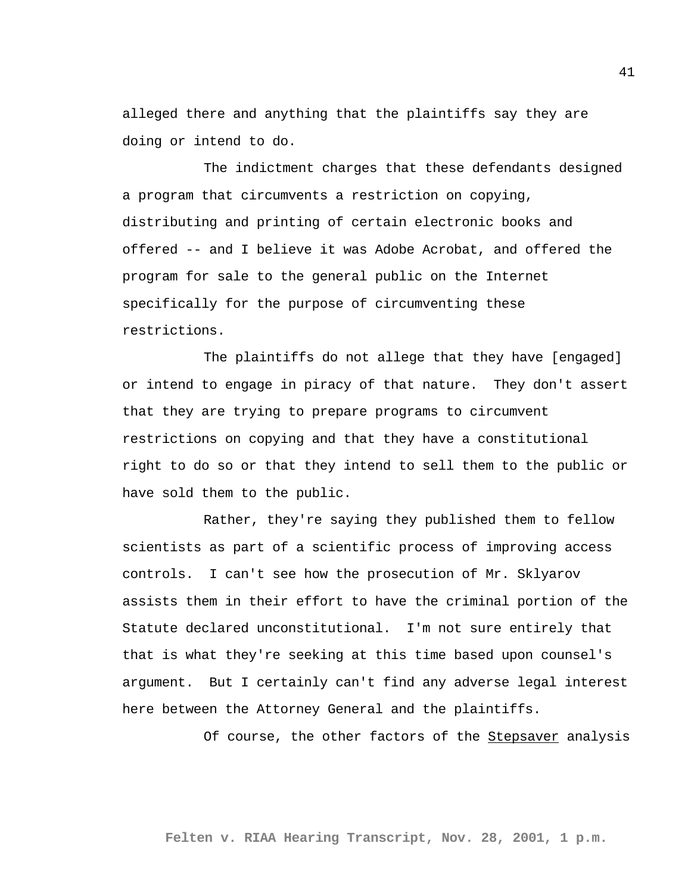alleged there and anything that the plaintiffs say they are doing or intend to do.

The indictment charges that these defendants designed a program that circumvents a restriction on copying, distributing and printing of certain electronic books and offered -- and I believe it was Adobe Acrobat, and offered the program for sale to the general public on the Internet specifically for the purpose of circumventing these restrictions.

The plaintiffs do not allege that they have [engaged] or intend to engage in piracy of that nature. They don't assert that they are trying to prepare programs to circumvent restrictions on copying and that they have a constitutional right to do so or that they intend to sell them to the public or have sold them to the public.

Rather, they're saying they published them to fellow scientists as part of a scientific process of improving access controls. I can't see how the prosecution of Mr. Sklyarov assists them in their effort to have the criminal portion of the Statute declared unconstitutional. I'm not sure entirely that that is what they're seeking at this time based upon counsel's argument. But I certainly can't find any adverse legal interest here between the Attorney General and the plaintiffs.

Of course, the other factors of the Stepsaver analysis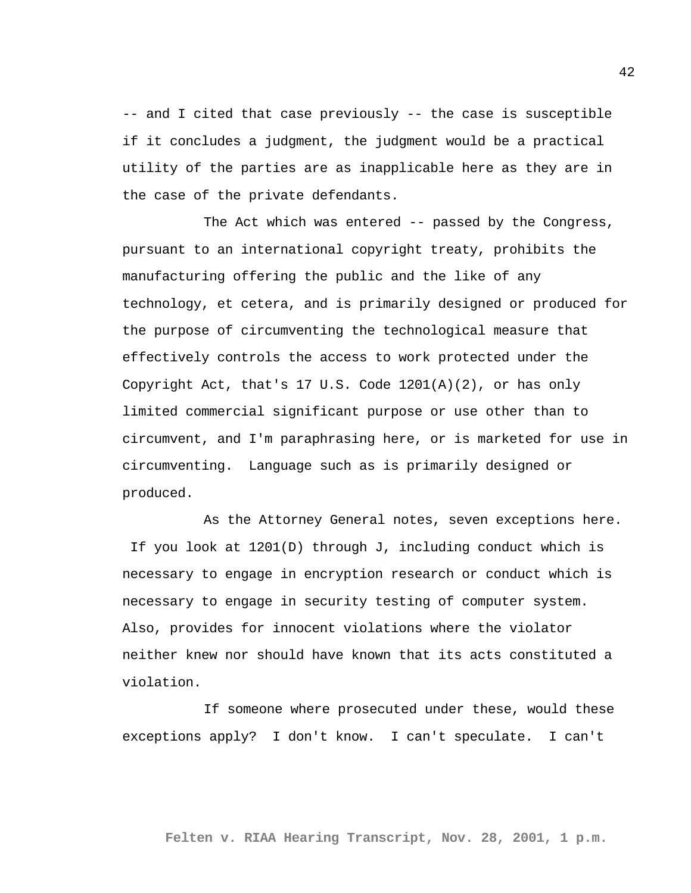-- and I cited that case previously -- the case is susceptible if it concludes a judgment, the judgment would be a practical utility of the parties are as inapplicable here as they are in the case of the private defendants.

The Act which was entered -- passed by the Congress, pursuant to an international copyright treaty, prohibits the manufacturing offering the public and the like of any technology, et cetera, and is primarily designed or produced for the purpose of circumventing the technological measure that effectively controls the access to work protected under the Copyright Act, that's 17 U.S. Code 1201(A)(2), or has only limited commercial significant purpose or use other than to circumvent, and I'm paraphrasing here, or is marketed for use in circumventing. Language such as is primarily designed or produced.

As the Attorney General notes, seven exceptions here. If you look at 1201(D) through J, including conduct which is necessary to engage in encryption research or conduct which is necessary to engage in security testing of computer system. Also, provides for innocent violations where the violator neither knew nor should have known that its acts constituted a violation.

If someone where prosecuted under these, would these exceptions apply? I don't know. I can't speculate. I can't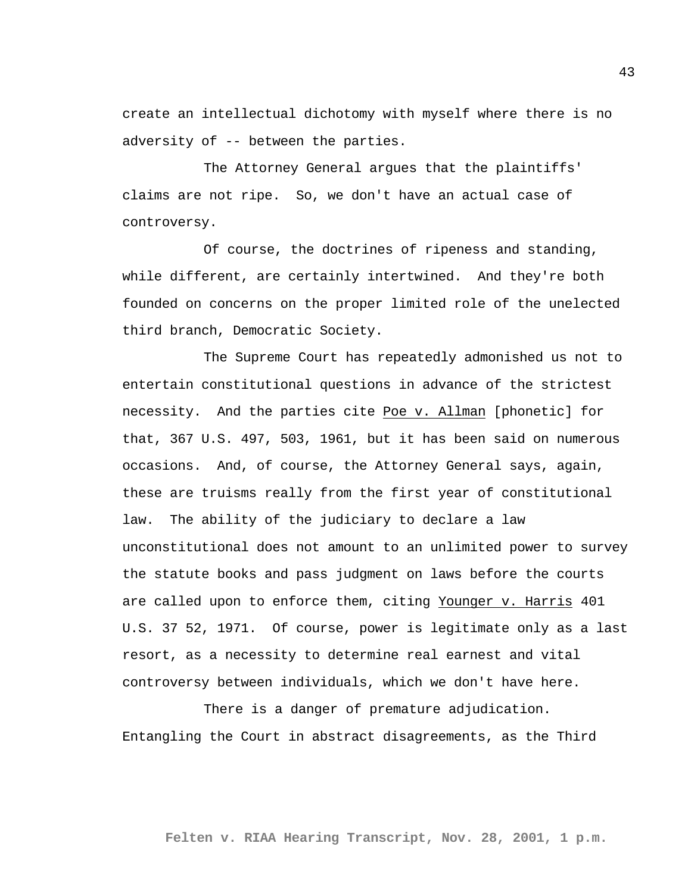create an intellectual dichotomy with myself where there is no adversity of -- between the parties.

The Attorney General argues that the plaintiffs' claims are not ripe. So, we don't have an actual case of controversy.

Of course, the doctrines of ripeness and standing, while different, are certainly intertwined. And they're both founded on concerns on the proper limited role of the unelected third branch, Democratic Society.

The Supreme Court has repeatedly admonished us not to entertain constitutional questions in advance of the strictest necessity. And the parties cite Poe v. Allman [phonetic] for that, 367 U.S. 497, 503, 1961, but it has been said on numerous occasions. And, of course, the Attorney General says, again, these are truisms really from the first year of constitutional law. The ability of the judiciary to declare a law unconstitutional does not amount to an unlimited power to survey the statute books and pass judgment on laws before the courts are called upon to enforce them, citing Younger v. Harris 401 U.S. 37 52, 1971. Of course, power is legitimate only as a last resort, as a necessity to determine real earnest and vital controversy between individuals, which we don't have here.

There is a danger of premature adjudication. Entangling the Court in abstract disagreements, as the Third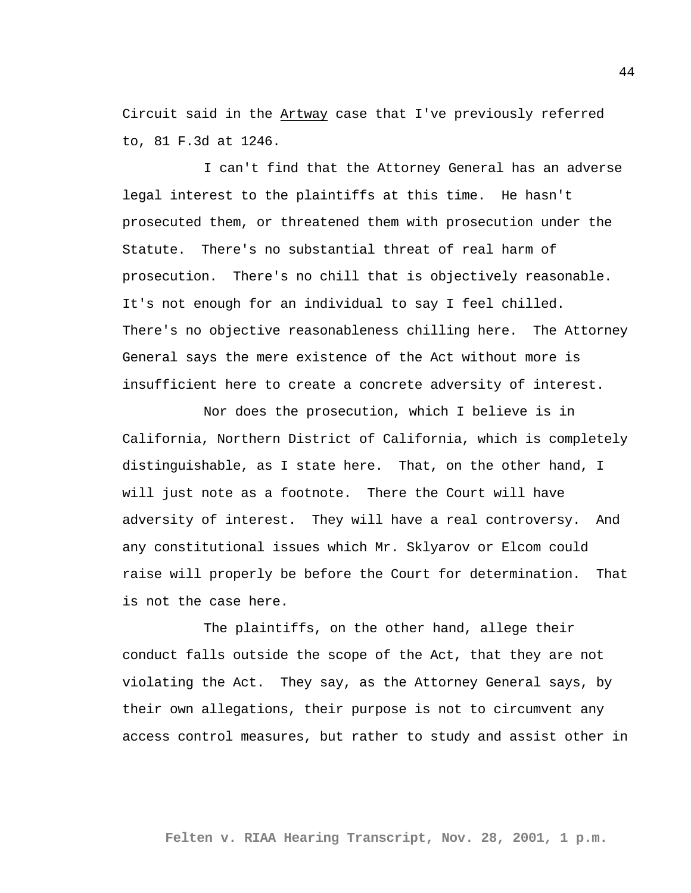Circuit said in the Artway case that I've previously referred to, 81 F.3d at 1246.

I can't find that the Attorney General has an adverse legal interest to the plaintiffs at this time. He hasn't prosecuted them, or threatened them with prosecution under the Statute. There's no substantial threat of real harm of prosecution. There's no chill that is objectively reasonable. It's not enough for an individual to say I feel chilled. There's no objective reasonableness chilling here. The Attorney General says the mere existence of the Act without more is insufficient here to create a concrete adversity of interest.

Nor does the prosecution, which I believe is in California, Northern District of California, which is completely distinguishable, as I state here. That, on the other hand, I will just note as a footnote. There the Court will have adversity of interest. They will have a real controversy. And any constitutional issues which Mr. Sklyarov or Elcom could raise will properly be before the Court for determination. That is not the case here.

The plaintiffs, on the other hand, allege their conduct falls outside the scope of the Act, that they are not violating the Act. They say, as the Attorney General says, by their own allegations, their purpose is not to circumvent any access control measures, but rather to study and assist other in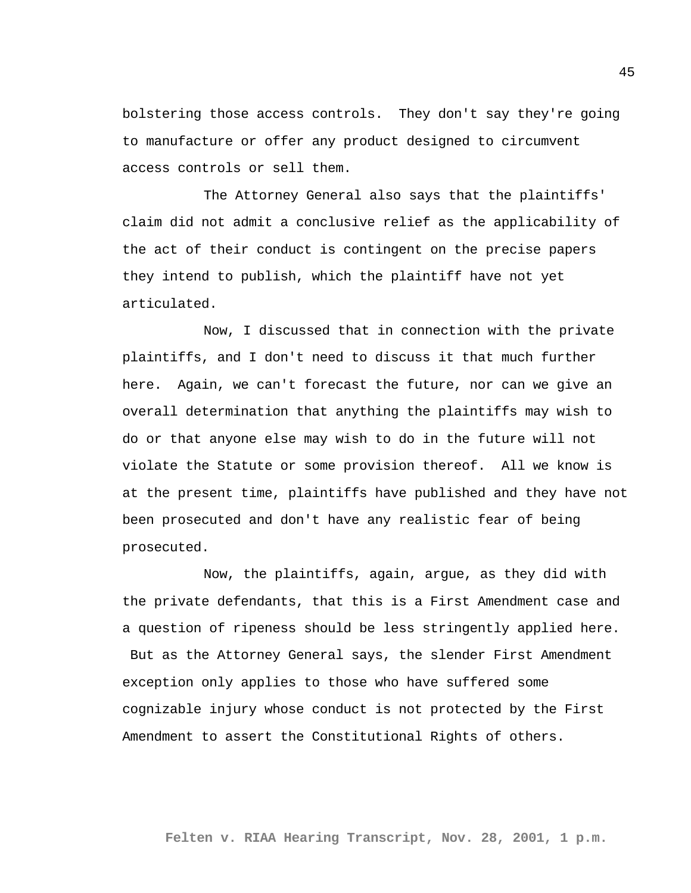bolstering those access controls. They don't say they're going to manufacture or offer any product designed to circumvent access controls or sell them.

The Attorney General also says that the plaintiffs' claim did not admit a conclusive relief as the applicability of the act of their conduct is contingent on the precise papers they intend to publish, which the plaintiff have not yet articulated.

Now, I discussed that in connection with the private plaintiffs, and I don't need to discuss it that much further here. Again, we can't forecast the future, nor can we give an overall determination that anything the plaintiffs may wish to do or that anyone else may wish to do in the future will not violate the Statute or some provision thereof. All we know is at the present time, plaintiffs have published and they have not been prosecuted and don't have any realistic fear of being prosecuted.

Now, the plaintiffs, again, argue, as they did with the private defendants, that this is a First Amendment case and a question of ripeness should be less stringently applied here. But as the Attorney General says, the slender First Amendment exception only applies to those who have suffered some cognizable injury whose conduct is not protected by the First Amendment to assert the Constitutional Rights of others.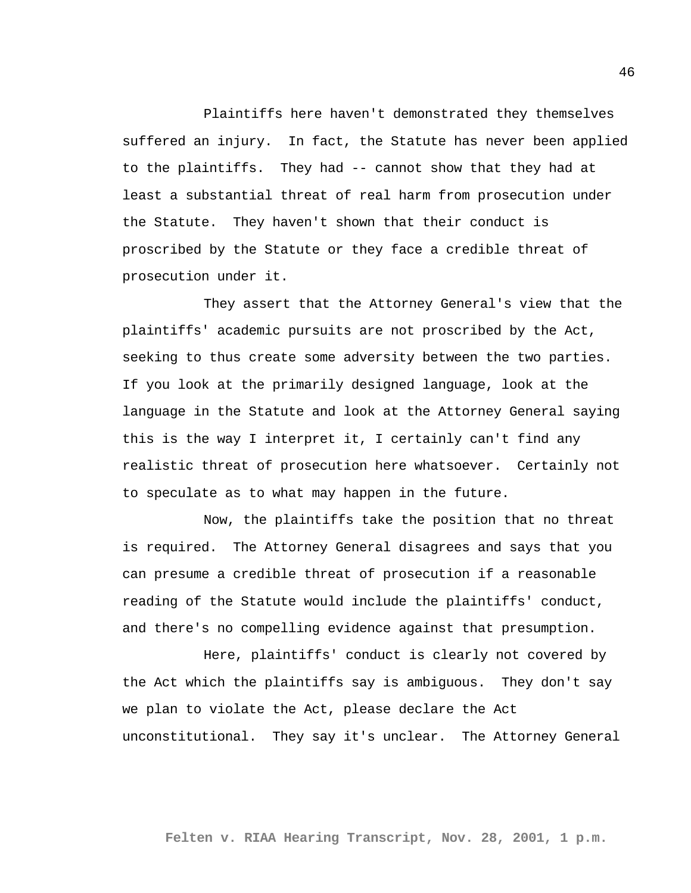Plaintiffs here haven't demonstrated they themselves suffered an injury. In fact, the Statute has never been applied to the plaintiffs. They had -- cannot show that they had at least a substantial threat of real harm from prosecution under the Statute. They haven't shown that their conduct is proscribed by the Statute or they face a credible threat of prosecution under it.

They assert that the Attorney General's view that the plaintiffs' academic pursuits are not proscribed by the Act, seeking to thus create some adversity between the two parties. If you look at the primarily designed language, look at the language in the Statute and look at the Attorney General saying this is the way I interpret it, I certainly can't find any realistic threat of prosecution here whatsoever. Certainly not to speculate as to what may happen in the future.

Now, the plaintiffs take the position that no threat is required. The Attorney General disagrees and says that you can presume a credible threat of prosecution if a reasonable reading of the Statute would include the plaintiffs' conduct, and there's no compelling evidence against that presumption.

Here, plaintiffs' conduct is clearly not covered by the Act which the plaintiffs say is ambiguous. They don't say we plan to violate the Act, please declare the Act unconstitutional. They say it's unclear. The Attorney General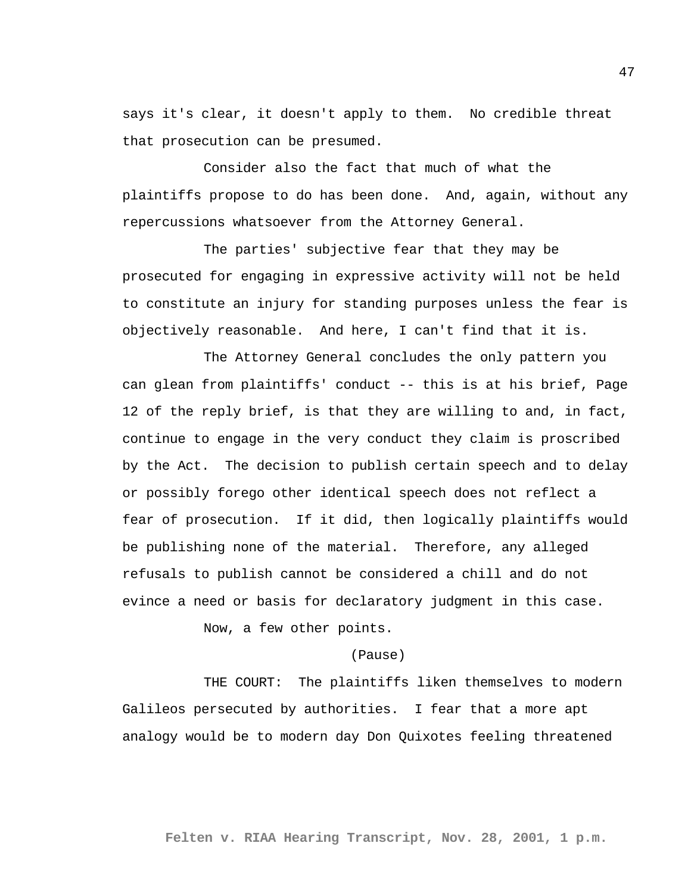says it's clear, it doesn't apply to them. No credible threat that prosecution can be presumed.

Consider also the fact that much of what the plaintiffs propose to do has been done. And, again, without any repercussions whatsoever from the Attorney General.

The parties' subjective fear that they may be prosecuted for engaging in expressive activity will not be held to constitute an injury for standing purposes unless the fear is objectively reasonable. And here, I can't find that it is.

The Attorney General concludes the only pattern you can glean from plaintiffs' conduct -- this is at his brief, Page 12 of the reply brief, is that they are willing to and, in fact, continue to engage in the very conduct they claim is proscribed by the Act. The decision to publish certain speech and to delay or possibly forego other identical speech does not reflect a fear of prosecution. If it did, then logically plaintiffs would be publishing none of the material. Therefore, any alleged refusals to publish cannot be considered a chill and do not evince a need or basis for declaratory judgment in this case.

Now, a few other points.

## (Pause)

THE COURT: The plaintiffs liken themselves to modern Galileos persecuted by authorities. I fear that a more apt analogy would be to modern day Don Quixotes feeling threatened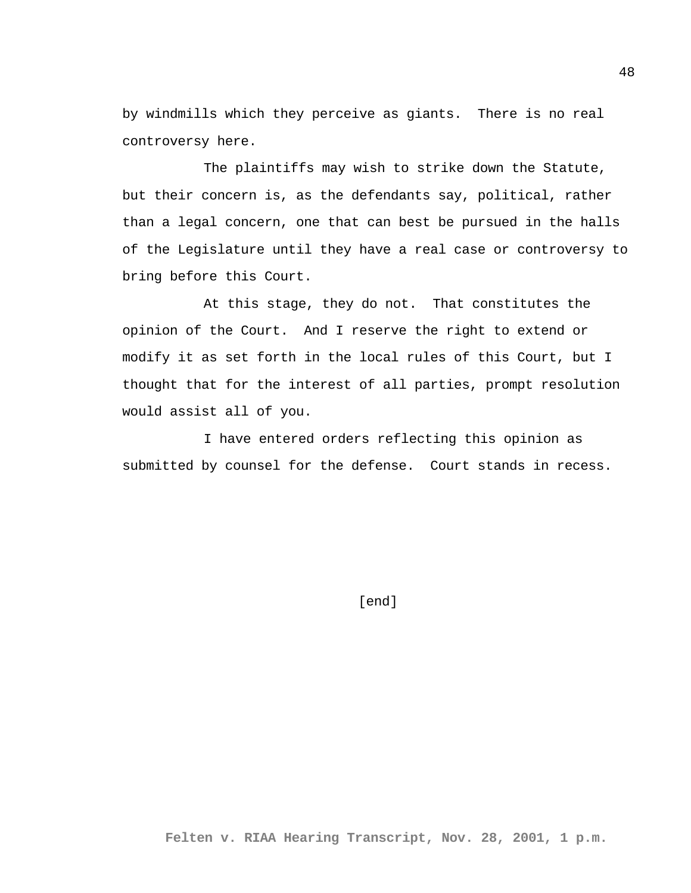by windmills which they perceive as giants. There is no real controversy here.

The plaintiffs may wish to strike down the Statute, but their concern is, as the defendants say, political, rather than a legal concern, one that can best be pursued in the halls of the Legislature until they have a real case or controversy to bring before this Court.

At this stage, they do not. That constitutes the opinion of the Court. And I reserve the right to extend or modify it as set forth in the local rules of this Court, but I thought that for the interest of all parties, prompt resolution would assist all of you.

I have entered orders reflecting this opinion as submitted by counsel for the defense. Court stands in recess.

[end]